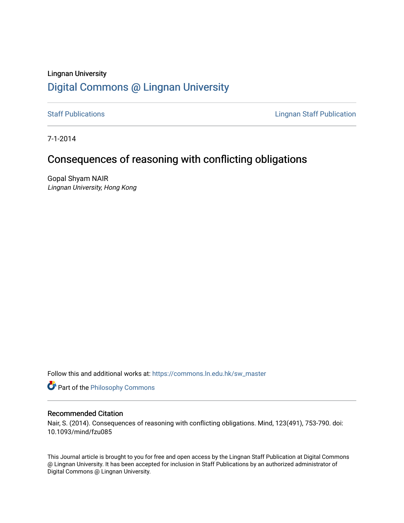# Lingnan University [Digital Commons @ Lingnan University](https://commons.ln.edu.hk/)

[Staff Publications](https://commons.ln.edu.hk/sw_master) **Staff Publications Lingnan Staff Publication** 

7-1-2014

# Consequences of reasoning with conflicting obligations

Gopal Shyam NAIR Lingnan University, Hong Kong

Follow this and additional works at: [https://commons.ln.edu.hk/sw\\_master](https://commons.ln.edu.hk/sw_master?utm_source=commons.ln.edu.hk%2Fsw_master%2F3107&utm_medium=PDF&utm_campaign=PDFCoverPages) 

**Part of the Philosophy Commons** 

## Recommended Citation

Nair, S. (2014). Consequences of reasoning with conflicting obligations. Mind, 123(491), 753-790. doi: 10.1093/mind/fzu085

This Journal article is brought to you for free and open access by the Lingnan Staff Publication at Digital Commons @ Lingnan University. It has been accepted for inclusion in Staff Publications by an authorized administrator of Digital Commons @ Lingnan University.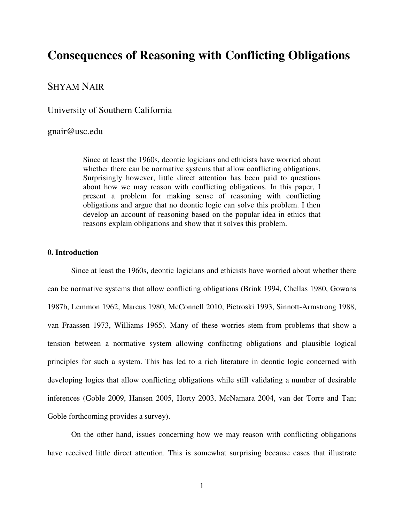# **Consequences of Reasoning with Conflicting Obligations**

# SHYAM NAIR

University of Southern California

## gnair@usc.edu

Since at least the 1960s, deontic logicians and ethicists have worried about whether there can be normative systems that allow conflicting obligations. Surprisingly however, little direct attention has been paid to questions about how we may reason with conflicting obligations. In this paper, I present a problem for making sense of reasoning with conflicting obligations and argue that no deontic logic can solve this problem. I then develop an account of reasoning based on the popular idea in ethics that reasons explain obligations and show that it solves this problem.

## **0. Introduction**

 Since at least the 1960s, deontic logicians and ethicists have worried about whether there can be normative systems that allow conflicting obligations (Brink 1994, Chellas 1980, Gowans 1987b, Lemmon 1962, Marcus 1980, McConnell 2010, Pietroski 1993, Sinnott-Armstrong 1988, van Fraassen 1973, Williams 1965). Many of these worries stem from problems that show a tension between a normative system allowing conflicting obligations and plausible logical principles for such a system. This has led to a rich literature in deontic logic concerned with developing logics that allow conflicting obligations while still validating a number of desirable inferences (Goble 2009, Hansen 2005, Horty 2003, McNamara 2004, van der Torre and Tan; Goble forthcoming provides a survey).

 On the other hand, issues concerning how we may reason with conflicting obligations have received little direct attention. This is somewhat surprising because cases that illustrate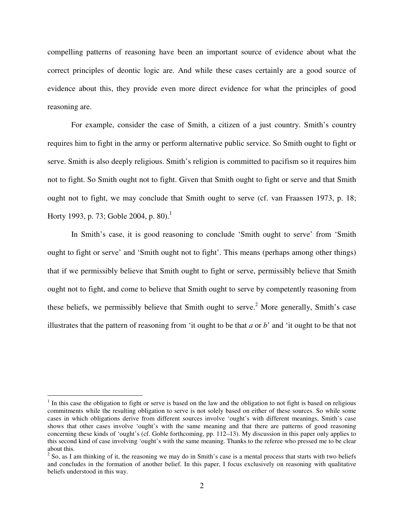compelling patterns of reasoning have been an important source of evidence about what the correct principles of deontic logic are. And while these cases certainly are a good source of evidence about this, they provide even more direct evidence for what the principles of good reasoning are.

 For example, consider the case of Smith, a citizen of a just country. Smith's country requires him to fight in the army or perform alternative public service. So Smith ought to fight or serve. Smith is also deeply religious. Smith's religion is committed to pacifism so it requires him not to fight. So Smith ought not to fight. Given that Smith ought to fight or serve and that Smith ought not to fight, we may conclude that Smith ought to serve (cf. van Fraassen 1973, p. 18; Horty 1993, p. 73; Goble 2004, p. 80).<sup>1</sup>

 In Smith's case, it is good reasoning to conclude 'Smith ought to serve' from 'Smith ought to fight or serve' and 'Smith ought not to fight'. This means (perhaps among other things) that if we permissibly believe that Smith ought to fight or serve, permissibly believe that Smith ought not to fight, and come to believe that Smith ought to serve by competently reasoning from these beliefs, we permissibly believe that Smith ought to serve.<sup>2</sup> More generally, Smith's case illustrates that the pattern of reasoning from 'it ought to be that *a* or *b*' and 'it ought to be that not

 $<sup>1</sup>$  In this case the obligation to fight or serve is based on the law and the obligation to not fight is based on religious</sup> commitments while the resulting obligation to serve is not solely based on either of these sources. So while some cases in which obligations derive from different sources involve 'ought's with different meanings, Smith's case shows that other cases involve 'ought's with the same meaning and that there are patterns of good reasoning concerning these kinds of 'ought's (cf. Goble forthcoming, pp. 112–13). My discussion in this paper only applies to this second kind of case involving 'ought's with the same meaning. Thanks to the referee who pressed me to be clear about this.

 $2^2$  So, as I am thinking of it, the reasoning we may do in Smith's case is a mental process that starts with two beliefs and concludes in the formation of another belief. In this paper, I focus exclusively on reasoning with qualitative beliefs understood in this way.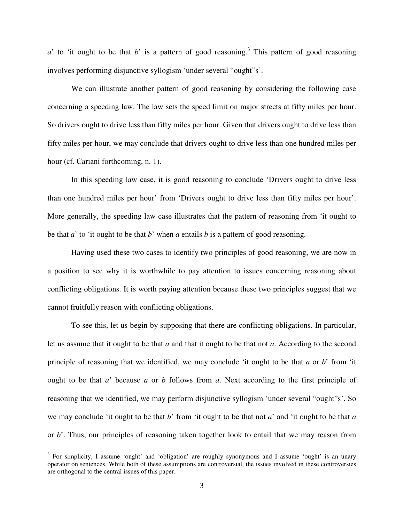$a'$  to 'it ought to be that  $b'$  is a pattern of good reasoning.<sup>3</sup> This pattern of good reasoning involves performing disjunctive syllogism 'under several "ought"s'.

 We can illustrate another pattern of good reasoning by considering the following case concerning a speeding law. The law sets the speed limit on major streets at fifty miles per hour. So drivers ought to drive less than fifty miles per hour. Given that drivers ought to drive less than fifty miles per hour, we may conclude that drivers ought to drive less than one hundred miles per hour (cf. Cariani forthcoming, n. 1).

 In this speeding law case, it is good reasoning to conclude 'Drivers ought to drive less than one hundred miles per hour' from 'Drivers ought to drive less than fifty miles per hour'. More generally, the speeding law case illustrates that the pattern of reasoning from 'it ought to be that *a*' to 'it ought to be that *b*' when *a* entails *b* is a pattern of good reasoning.

 Having used these two cases to identify two principles of good reasoning, we are now in a position to see why it is worthwhile to pay attention to issues concerning reasoning about conflicting obligations. It is worth paying attention because these two principles suggest that we cannot fruitfully reason with conflicting obligations.

 To see this, let us begin by supposing that there are conflicting obligations. In particular, let us assume that it ought to be that *a* and that it ought to be that not *a*. According to the second principle of reasoning that we identified, we may conclude 'it ought to be that *a* or *b*' from 'it ought to be that *a*' because *a* or *b* follows from *a*. Next according to the first principle of reasoning that we identified, we may perform disjunctive syllogism 'under several "ought"s'. So we may conclude 'it ought to be that *b*' from 'it ought to be that not *a*' and 'it ought to be that *a* or *b*'. Thus, our principles of reasoning taken together look to entail that we may reason from

<sup>&</sup>lt;sup>3</sup> For simplicity, I assume 'ought' and 'obligation' are roughly synonymous and I assume 'ought' is an unary operator on sentences. While both of these assumptions are controversial, the issues involved in these controversies are orthogonal to the central issues of this paper.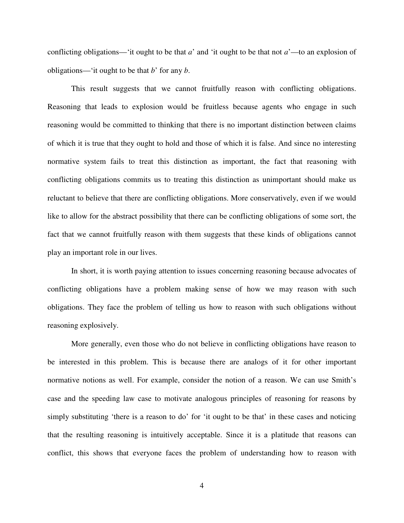conflicting obligations—'it ought to be that *a*' and 'it ought to be that not *a*'—to an explosion of obligations—'it ought to be that *b*' for any *b*.

 This result suggests that we cannot fruitfully reason with conflicting obligations. Reasoning that leads to explosion would be fruitless because agents who engage in such reasoning would be committed to thinking that there is no important distinction between claims of which it is true that they ought to hold and those of which it is false. And since no interesting normative system fails to treat this distinction as important, the fact that reasoning with conflicting obligations commits us to treating this distinction as unimportant should make us reluctant to believe that there are conflicting obligations. More conservatively, even if we would like to allow for the abstract possibility that there can be conflicting obligations of some sort, the fact that we cannot fruitfully reason with them suggests that these kinds of obligations cannot play an important role in our lives.

 In short, it is worth paying attention to issues concerning reasoning because advocates of conflicting obligations have a problem making sense of how we may reason with such obligations. They face the problem of telling us how to reason with such obligations without reasoning explosively.

More generally, even those who do not believe in conflicting obligations have reason to be interested in this problem. This is because there are analogs of it for other important normative notions as well. For example, consider the notion of a reason. We can use Smith's case and the speeding law case to motivate analogous principles of reasoning for reasons by simply substituting 'there is a reason to do' for 'it ought to be that' in these cases and noticing that the resulting reasoning is intuitively acceptable. Since it is a platitude that reasons can conflict, this shows that everyone faces the problem of understanding how to reason with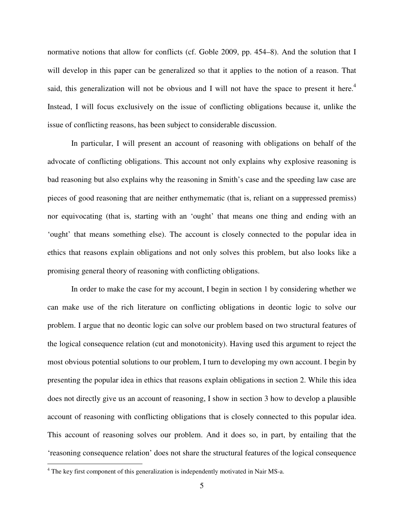normative notions that allow for conflicts (cf. Goble 2009, pp. 454–8). And the solution that I will develop in this paper can be generalized so that it applies to the notion of a reason. That said, this generalization will not be obvious and I will not have the space to present it here.<sup>4</sup> Instead, I will focus exclusively on the issue of conflicting obligations because it, unlike the issue of conflicting reasons, has been subject to considerable discussion.

 In particular, I will present an account of reasoning with obligations on behalf of the advocate of conflicting obligations. This account not only explains why explosive reasoning is bad reasoning but also explains why the reasoning in Smith's case and the speeding law case are pieces of good reasoning that are neither enthymematic (that is, reliant on a suppressed premiss) nor equivocating (that is, starting with an 'ought' that means one thing and ending with an 'ought' that means something else). The account is closely connected to the popular idea in ethics that reasons explain obligations and not only solves this problem, but also looks like a promising general theory of reasoning with conflicting obligations.

 In order to make the case for my account, I begin in section 1 by considering whether we can make use of the rich literature on conflicting obligations in deontic logic to solve our problem. I argue that no deontic logic can solve our problem based on two structural features of the logical consequence relation (cut and monotonicity). Having used this argument to reject the most obvious potential solutions to our problem, I turn to developing my own account. I begin by presenting the popular idea in ethics that reasons explain obligations in section 2. While this idea does not directly give us an account of reasoning, I show in section 3 how to develop a plausible account of reasoning with conflicting obligations that is closely connected to this popular idea. This account of reasoning solves our problem. And it does so, in part, by entailing that the 'reasoning consequence relation' does not share the structural features of the logical consequence

<sup>&</sup>lt;sup>4</sup> The key first component of this generalization is independently motivated in Nair MS-a.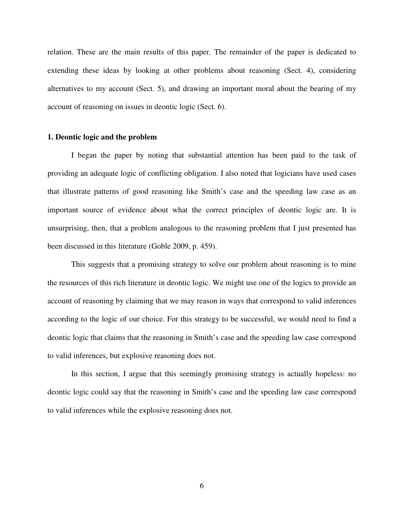relation. These are the main results of this paper. The remainder of the paper is dedicated to extending these ideas by looking at other problems about reasoning (Sect. 4), considering alternatives to my account (Sect. 5), and drawing an important moral about the bearing of my account of reasoning on issues in deontic logic (Sect. 6).

#### **1. Deontic logic and the problem**

 I began the paper by noting that substantial attention has been paid to the task of providing an adequate logic of conflicting obligation. I also noted that logicians have used cases that illustrate patterns of good reasoning like Smith's case and the speeding law case as an important source of evidence about what the correct principles of deontic logic are. It is unsurprising, then, that a problem analogous to the reasoning problem that I just presented has been discussed in this literature (Goble 2009, p. 459).

This suggests that a promising strategy to solve our problem about reasoning is to mine the resources of this rich literature in deontic logic. We might use one of the logics to provide an account of reasoning by claiming that we may reason in ways that correspond to valid inferences according to the logic of our choice. For this strategy to be successful, we would need to find a deontic logic that claims that the reasoning in Smith's case and the speeding law case correspond to valid inferences, but explosive reasoning does not.

 In this section, I argue that this seemingly promising strategy is actually hopeless: no deontic logic could say that the reasoning in Smith's case and the speeding law case correspond to valid inferences while the explosive reasoning does not.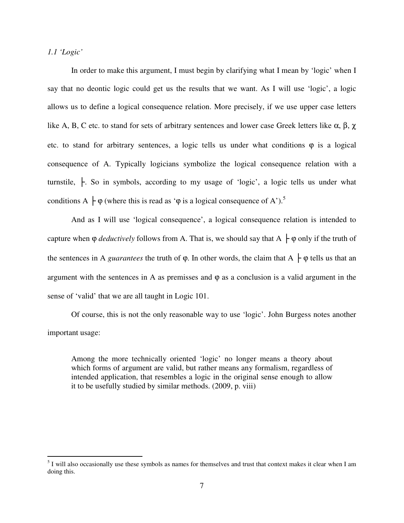*1.1 'Logic'* 

 In order to make this argument, I must begin by clarifying what I mean by 'logic' when I say that no deontic logic could get us the results that we want. As I will use 'logic', a logic allows us to define a logical consequence relation. More precisely, if we use upper case letters like A, B, C etc. to stand for sets of arbitrary sentences and lower case Greek letters like α, β,  $\chi$ etc. to stand for arbitrary sentences, a logic tells us under what conditions  $\varphi$  is a logical consequence of A. Typically logicians symbolize the logical consequence relation with a turnstile,  $\vdash$ . So in symbols, according to my usage of 'logic', a logic tells us under what conditions A  $\vdash \varphi$  (where this is read as ' $\varphi$  is a logical consequence of A').<sup>5</sup>

 And as I will use 'logical consequence', a logical consequence relation is intended to capture when  $\varphi$  *deductively* follows from A. That is, we should say that A  $\vdash \varphi$  only if the truth of the sentences in A *guarantees* the truth of  $\varphi$ . In other words, the claim that A  $\vdash \varphi$  tells us that an argument with the sentences in A as premisses and  $\varphi$  as a conclusion is a valid argument in the sense of 'valid' that we are all taught in Logic 101.

 Of course, this is not the only reasonable way to use 'logic'. John Burgess notes another important usage:

Among the more technically oriented 'logic' no longer means a theory about which forms of argument are valid, but rather means any formalism, regardless of intended application, that resembles a logic in the original sense enough to allow it to be usefully studied by similar methods. (2009, p. viii)

<sup>&</sup>lt;sup>5</sup> I will also occasionally use these symbols as names for themselves and trust that context makes it clear when I am doing this.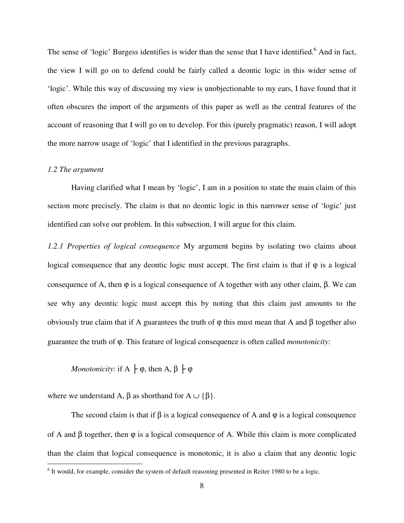The sense of 'logic' Burgess identifies is wider than the sense that I have identified.<sup>6</sup> And in fact, the view I will go on to defend could be fairly called a deontic logic in this wider sense of 'logic'. While this way of discussing my view is unobjectionable to my ears, I have found that it often obscures the import of the arguments of this paper as well as the central features of the account of reasoning that I will go on to develop. For this (purely pragmatic) reason, I will adopt the more narrow usage of 'logic' that I identified in the previous paragraphs.

#### *1.2 The argument*

 $\overline{a}$ 

 Having clarified what I mean by 'logic', I am in a position to state the main claim of this section more precisely. The claim is that no deontic logic in this narrower sense of 'logic' just identified can solve our problem. In this subsection, I will argue for this claim.

*1.2.1 Properties of logical consequence* My argument begins by isolating two claims about logical consequence that any deontic logic must accept. The first claim is that if  $\varphi$  is a logical consequence of A, then  $φ$  is a logical consequence of A together with any other claim,  $β$ . We can see why any deontic logic must accept this by noting that this claim just amounts to the obviously true claim that if A guarantees the truth of  $φ$  this must mean that A and  $β$  together also guarantee the truth of ϕ. This feature of logical consequence is often called *monotonicity*:

*Monotonicity*: if  $A \nvert \varphi$ , then  $A, \beta \nvert \varphi$ 

where we understand A,  $\beta$  as shorthand for A  $\cup$  { $\beta$ }.

The second claim is that if  $\beta$  is a logical consequence of A and  $\varphi$  is a logical consequence of A and  $\beta$  together, then  $\varphi$  is a logical consequence of A. While this claim is more complicated than the claim that logical consequence is monotonic, it is also a claim that any deontic logic

 $<sup>6</sup>$  It would, for example, consider the system of default reasoning presented in Reiter 1980 to be a logic.</sup>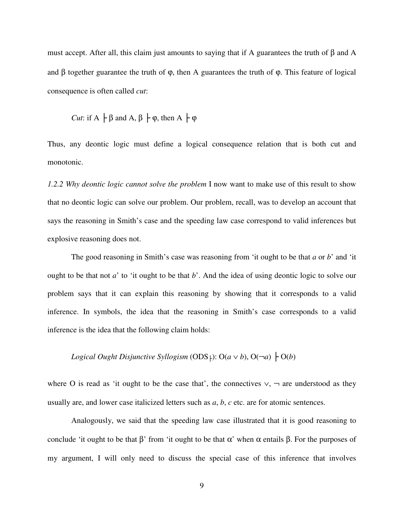must accept. After all, this claim just amounts to saying that if A guarantees the truth of β and A and  $\beta$  together guarantee the truth of  $\varphi$ , then A guarantees the truth of  $\varphi$ . This feature of logical consequence is often called *cut*:

*Cut*: if 
$$
A \vdash \beta
$$
 and  $A, \beta \vdash \phi$ , then  $A \vdash \phi$ 

Thus, any deontic logic must define a logical consequence relation that is both cut and monotonic.

*1.2.2 Why deontic logic cannot solve the problem* I now want to make use of this result to show that no deontic logic can solve our problem. Our problem, recall, was to develop an account that says the reasoning in Smith's case and the speeding law case correspond to valid inferences but explosive reasoning does not.

The good reasoning in Smith's case was reasoning from 'it ought to be that *a* or *b*' and 'it ought to be that not *a*' to 'it ought to be that *b*'. And the idea of using deontic logic to solve our problem says that it can explain this reasoning by showing that it corresponds to a valid inference. In symbols, the idea that the reasoning in Smith's case corresponds to a valid inference is the idea that the following claim holds:

*Logical Ought Disjunctive Syllogism* (ODS<sub>F</sub>): O( $a \vee b$ ), O( $\neg a$ )  $\vdash$  O( $b$ )

where O is read as 'it ought to be the case that', the connectives  $\vee$ ,  $\neg$  are understood as they usually are, and lower case italicized letters such as *a*, *b*, *c* etc. are for atomic sentences.

 Analogously, we said that the speeding law case illustrated that it is good reasoning to conclude 'it ought to be that  $\beta$ ' from 'it ought to be that  $\alpha$ ' when  $\alpha$  entails  $\beta$ . For the purposes of my argument, I will only need to discuss the special case of this inference that involves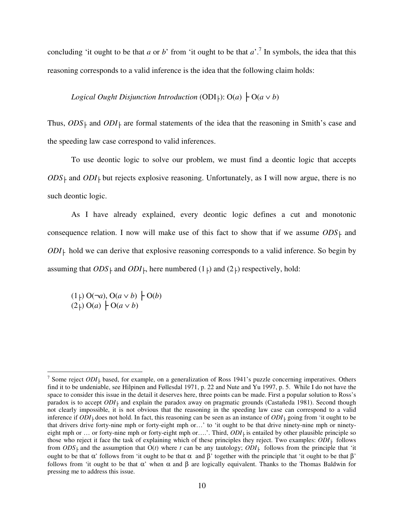concluding 'it ought to be that *a* or *b*' from 'it ought to be that  $a'$ .<sup>7</sup> In symbols, the idea that this reasoning corresponds to a valid inference is the idea that the following claim holds:

*Logical Ought Disjunction Introduction* (ODI $\vdash$ ): O(*a*)  $\vdash$  O(*a*  $\lor$  *b*)

Thus,  $ODS$ <sub>⊦</sub> and  $ODI$ <sub>⊦</sub> are formal statements of the idea that the reasoning in Smith's case and the speeding law case correspond to valid inferences.

 To use deontic logic to solve our problem, we must find a deontic logic that accepts  $ODS<sub>+</sub>$  and  $ODI<sub>+</sub>$  but rejects explosive reasoning. Unfortunately, as I will now argue, there is no such deontic logic.

 As I have already explained, every deontic logic defines a cut and monotonic consequence relation. I now will make use of this fact to show that if we assume  $ODS_{\perp}$  and  $ODI<sub>+</sub>$  hold we can derive that explosive reasoning corresponds to a valid inference. So begin by assuming that  $ODS$ <sup> $\uparrow$ </sup> and  $ODI$ <sup> $\uparrow$ </sup>, here numbered (1<sub> $\uparrow$ </sub>) and (2<sub> $\uparrow$ </sub>) respectively, hold:

 $(1)$  O(¬*a*), O(*a* ∨ *b*) ├ O(*b*)  $(2\dagger)$  O(*a*)  $\vdash$  O(*a*  $\vee$  *b*)

<sup>&</sup>lt;sup>7</sup> Some reject  $ODI<sub>+</sub>$  based, for example, on a generalization of Ross 1941's puzzle concerning imperatives. Others find it to be undeniable, see Hilpinen and Føllesdal 1971, p. 22 and Nute and Yu 1997, p. 5. While I do not have the space to consider this issue in the detail it deserves here, three points can be made. First a popular solution to Ross's paradox is to accept *ODI*<sup> $\mid$ </sup> and explain the paradox away on pragmatic grounds (Castañeda 1981). Second though not clearly impossible, it is not obvious that the reasoning in the speeding law case can correspond to a valid inference if  $ODI_{\downarrow}$  does not hold. In fact, this reasoning can be seen as an instance of  $ODI_{\downarrow}$  going from 'it ought to be that drivers drive forty-nine mph or forty-eight mph or…' to 'it ought to be that drive ninety-nine mph or ninetyeight mph or ... or forty-nine mph or forty-eight mph or….'. Third,  $ODI<sub>+</sub>$  is entailed by other plausible principle so those who reject it face the task of explaining which of these principles they reject. Two examples:  $ODI_{\downarrow}$  follows from  $ODS<sub>+</sub>$  and the assumption that  $O(t)$  where t can be any tautology;  $ODI<sub>+</sub>$  follows from the principle that 'it ought to be that α' follows from 'it ought to be that α and β' together with the principle that 'it ought to be that  $β'$ follows from 'it ought to be that  $\alpha$ ' when  $\alpha$  and  $\beta$  are logically equivalent. Thanks to the Thomas Baldwin for pressing me to address this issue.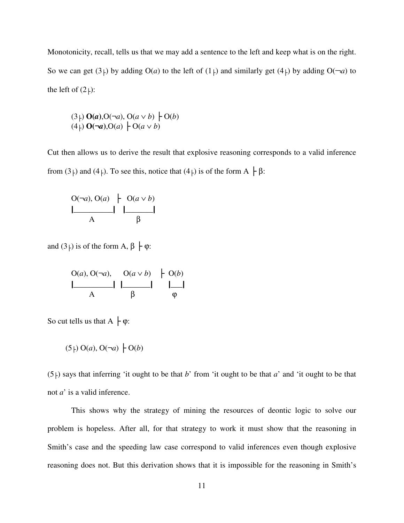Monotonicity, recall, tells us that we may add a sentence to the left and keep what is on the right. So we can get  $(3)$  by adding  $O(a)$  to the left of  $(1)$  and similarly get  $(4)$  by adding  $O(\neg a)$  to the left of  $(2)$ :

$$
(3\dagger) \mathbf{O}(a), \mathbf{O}(\neg a), \mathbf{O}(a \lor b) \upharpoonright \mathbf{O}(b)
$$
  

$$
(4\dagger) \mathbf{O}(\neg a), \mathbf{O}(a) \upharpoonright \mathbf{O}(a \lor b)
$$

Cut then allows us to derive the result that explosive reasoning corresponds to a valid inference from (3<sup>†</sup>) and (4<sup>†</sup>). To see this, notice that (4<sup>†</sup>) is of the form A  $\vdash \beta$ :

$$
\begin{array}{c|c}\nO(\neg a), O(a) & O(a \lor b) \\
\hline\nA & \beta\n\end{array}
$$

and  $(3+)$  is of the form A,  $\beta \nmid \varphi$ :

| $O(a), O(\neg a), O(a \vee b) \vdash O(b)$ |         |          |
|--------------------------------------------|---------|----------|
|                                            |         |          |
|                                            | $\beta$ | $\omega$ |

So cut tells us that  $A \nvert \phi$ :

$$
(5 \rvert) O(a), O(\neg a) \rvert O(b)
$$

 $(5)$  says that inferring 'it ought to be that *b*' from 'it ought to be that *a*' and 'it ought to be that not *a*' is a valid inference.

 This shows why the strategy of mining the resources of deontic logic to solve our problem is hopeless. After all, for that strategy to work it must show that the reasoning in Smith's case and the speeding law case correspond to valid inferences even though explosive reasoning does not. But this derivation shows that it is impossible for the reasoning in Smith's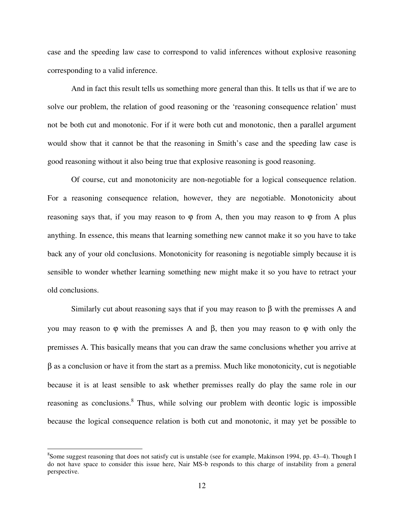case and the speeding law case to correspond to valid inferences without explosive reasoning corresponding to a valid inference.

 And in fact this result tells us something more general than this. It tells us that if we are to solve our problem, the relation of good reasoning or the 'reasoning consequence relation' must not be both cut and monotonic. For if it were both cut and monotonic, then a parallel argument would show that it cannot be that the reasoning in Smith's case and the speeding law case is good reasoning without it also being true that explosive reasoning is good reasoning.

 Of course, cut and monotonicity are non-negotiable for a logical consequence relation. For a reasoning consequence relation, however, they are negotiable. Monotonicity about reasoning says that, if you may reason to  $\varphi$  from A, then you may reason to  $\varphi$  from A plus anything. In essence, this means that learning something new cannot make it so you have to take back any of your old conclusions. Monotonicity for reasoning is negotiable simply because it is sensible to wonder whether learning something new might make it so you have to retract your old conclusions.

Similarly cut about reasoning says that if you may reason to  $\beta$  with the premisses A and you may reason to  $φ$  with the premisses A and  $β$ , then you may reason to  $φ$  with only the premisses A. This basically means that you can draw the same conclusions whether you arrive at β as a conclusion or have it from the start as a premiss. Much like monotonicity, cut is negotiable because it is at least sensible to ask whether premisses really do play the same role in our reasoning as conclusions.<sup>8</sup> Thus, while solving our problem with deontic logic is impossible because the logical consequence relation is both cut and monotonic, it may yet be possible to

<sup>&</sup>lt;sup>8</sup>Some suggest reasoning that does not satisfy cut is unstable (see for example, Makinson 1994, pp. 43–4). Though I do not have space to consider this issue here, Nair MS-b responds to this charge of instability from a general perspective.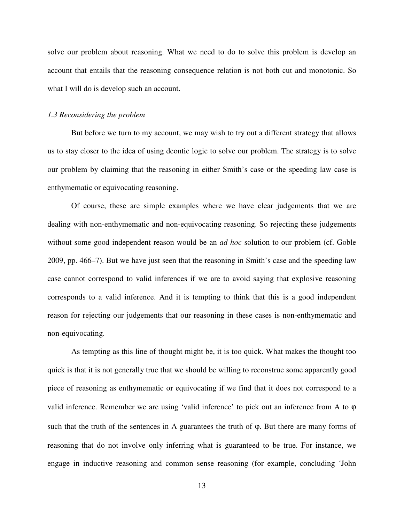solve our problem about reasoning. What we need to do to solve this problem is develop an account that entails that the reasoning consequence relation is not both cut and monotonic. So what I will do is develop such an account.

#### *1.3 Reconsidering the problem*

 But before we turn to my account, we may wish to try out a different strategy that allows us to stay closer to the idea of using deontic logic to solve our problem. The strategy is to solve our problem by claiming that the reasoning in either Smith's case or the speeding law case is enthymematic or equivocating reasoning.

 Of course, these are simple examples where we have clear judgements that we are dealing with non-enthymematic and non-equivocating reasoning. So rejecting these judgements without some good independent reason would be an *ad hoc* solution to our problem (cf. Goble 2009, pp. 466–7). But we have just seen that the reasoning in Smith's case and the speeding law case cannot correspond to valid inferences if we are to avoid saying that explosive reasoning corresponds to a valid inference. And it is tempting to think that this is a good independent reason for rejecting our judgements that our reasoning in these cases is non-enthymematic and non-equivocating.

 As tempting as this line of thought might be, it is too quick. What makes the thought too quick is that it is not generally true that we should be willing to reconstrue some apparently good piece of reasoning as enthymematic or equivocating if we find that it does not correspond to a valid inference. Remember we are using 'valid inference' to pick out an inference from A to  $\varphi$ such that the truth of the sentences in A guarantees the truth of φ. But there are many forms of reasoning that do not involve only inferring what is guaranteed to be true. For instance, we engage in inductive reasoning and common sense reasoning (for example, concluding 'John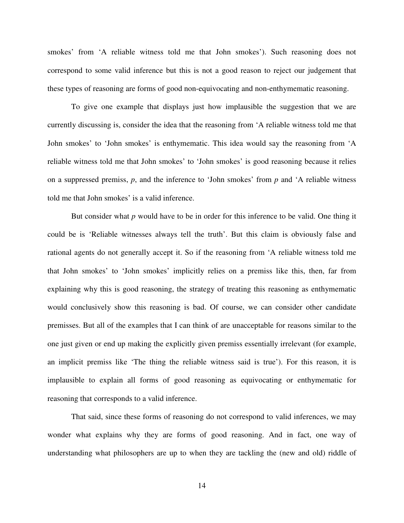smokes' from 'A reliable witness told me that John smokes'). Such reasoning does not correspond to some valid inference but this is not a good reason to reject our judgement that these types of reasoning are forms of good non-equivocating and non-enthymematic reasoning.

 To give one example that displays just how implausible the suggestion that we are currently discussing is, consider the idea that the reasoning from 'A reliable witness told me that John smokes' to 'John smokes' is enthymematic. This idea would say the reasoning from 'A reliable witness told me that John smokes' to 'John smokes' is good reasoning because it relies on a suppressed premiss, *p*, and the inference to 'John smokes' from *p* and 'A reliable witness told me that John smokes' is a valid inference.

 But consider what *p* would have to be in order for this inference to be valid. One thing it could be is 'Reliable witnesses always tell the truth'. But this claim is obviously false and rational agents do not generally accept it. So if the reasoning from 'A reliable witness told me that John smokes' to 'John smokes' implicitly relies on a premiss like this, then, far from explaining why this is good reasoning, the strategy of treating this reasoning as enthymematic would conclusively show this reasoning is bad. Of course, we can consider other candidate premisses. But all of the examples that I can think of are unacceptable for reasons similar to the one just given or end up making the explicitly given premiss essentially irrelevant (for example, an implicit premiss like 'The thing the reliable witness said is true'). For this reason, it is implausible to explain all forms of good reasoning as equivocating or enthymematic for reasoning that corresponds to a valid inference.

That said, since these forms of reasoning do not correspond to valid inferences, we may wonder what explains why they are forms of good reasoning. And in fact, one way of understanding what philosophers are up to when they are tackling the (new and old) riddle of

14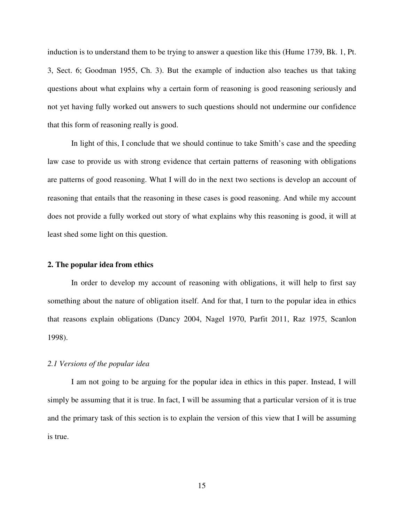induction is to understand them to be trying to answer a question like this (Hume 1739, Bk. 1, Pt. 3, Sect. 6; Goodman 1955, Ch. 3). But the example of induction also teaches us that taking questions about what explains why a certain form of reasoning is good reasoning seriously and not yet having fully worked out answers to such questions should not undermine our confidence that this form of reasoning really is good.

In light of this, I conclude that we should continue to take Smith's case and the speeding law case to provide us with strong evidence that certain patterns of reasoning with obligations are patterns of good reasoning. What I will do in the next two sections is develop an account of reasoning that entails that the reasoning in these cases is good reasoning. And while my account does not provide a fully worked out story of what explains why this reasoning is good, it will at least shed some light on this question.

### **2. The popular idea from ethics**

In order to develop my account of reasoning with obligations, it will help to first say something about the nature of obligation itself. And for that, I turn to the popular idea in ethics that reasons explain obligations (Dancy 2004, Nagel 1970, Parfit 2011, Raz 1975, Scanlon 1998).

#### *2.1 Versions of the popular idea*

I am not going to be arguing for the popular idea in ethics in this paper. Instead, I will simply be assuming that it is true. In fact, I will be assuming that a particular version of it is true and the primary task of this section is to explain the version of this view that I will be assuming is true.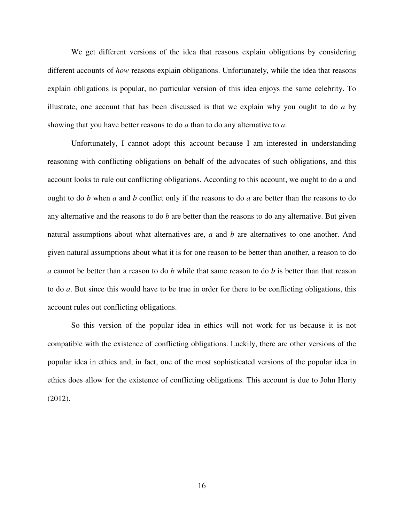We get different versions of the idea that reasons explain obligations by considering different accounts of *how* reasons explain obligations. Unfortunately, while the idea that reasons explain obligations is popular, no particular version of this idea enjoys the same celebrity. To illustrate, one account that has been discussed is that we explain why you ought to do *a* by showing that you have better reasons to do *a* than to do any alternative to *a*.

 Unfortunately, I cannot adopt this account because I am interested in understanding reasoning with conflicting obligations on behalf of the advocates of such obligations, and this account looks to rule out conflicting obligations. According to this account, we ought to do *a* and ought to do *b* when *a* and *b* conflict only if the reasons to do *a* are better than the reasons to do any alternative and the reasons to do *b* are better than the reasons to do any alternative. But given natural assumptions about what alternatives are, *a* and *b* are alternatives to one another. And given natural assumptions about what it is for one reason to be better than another, a reason to do *a* cannot be better than a reason to do *b* while that same reason to do *b* is better than that reason to do *a*. But since this would have to be true in order for there to be conflicting obligations, this account rules out conflicting obligations.

 So this version of the popular idea in ethics will not work for us because it is not compatible with the existence of conflicting obligations. Luckily, there are other versions of the popular idea in ethics and, in fact, one of the most sophisticated versions of the popular idea in ethics does allow for the existence of conflicting obligations. This account is due to John Horty (2012).

16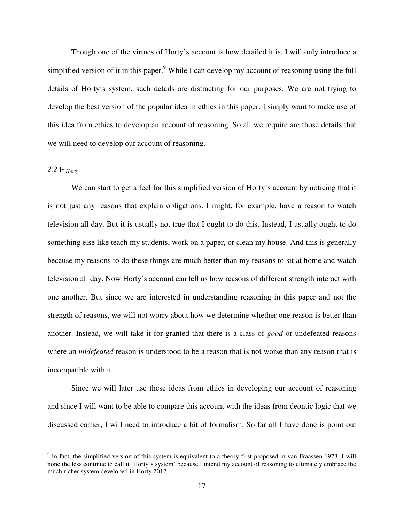Though one of the virtues of Horty's account is how detailed it is, I will only introduce a simplified version of it in this paper.<sup>9</sup> While I can develop my account of reasoning using the full details of Horty's system, such details are distracting for our purposes. We are not trying to develop the best version of the popular idea in ethics in this paper. I simply want to make use of this idea from ethics to develop an account of reasoning. So all we require are those details that we will need to develop our account of reasoning.

## 2.2  $\mid \sim_{Hortv}$

 $\overline{a}$ 

 We can start to get a feel for this simplified version of Horty's account by noticing that it is not just any reasons that explain obligations. I might, for example, have a reason to watch television all day. But it is usually not true that I ought to do this. Instead, I usually ought to do something else like teach my students, work on a paper, or clean my house. And this is generally because my reasons to do these things are much better than my reasons to sit at home and watch television all day. Now Horty's account can tell us how reasons of different strength interact with one another. But since we are interested in understanding reasoning in this paper and not the strength of reasons, we will not worry about how we determine whether one reason is better than another. Instead, we will take it for granted that there is a class of *good* or undefeated reasons where an *undefeated* reason is understood to be a reason that is not worse than any reason that is incompatible with it.

Since we will later use these ideas from ethics in developing our account of reasoning and since I will want to be able to compare this account with the ideas from deontic logic that we discussed earlier, I will need to introduce a bit of formalism. So far all I have done is point out

<sup>&</sup>lt;sup>9</sup> In fact, the simplified version of this system is equivalent to a theory first proposed in van Fraassen 1973. I will none the less continue to call it 'Horty's system' because I intend my account of reasoning to ultimately embrace the much richer system developed in Horty 2012.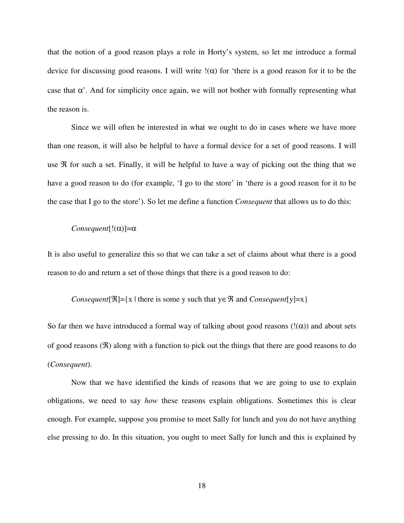that the notion of a good reason plays a role in Horty's system, so let me introduce a formal device for discussing good reasons. I will write  $\ell(\alpha)$  for 'there is a good reason for it to be the case that  $\alpha'$ . And for simplicity once again, we will not bother with formally representing what the reason is.

 Since we will often be interested in what we ought to do in cases where we have more than one reason, it will also be helpful to have a formal device for a set of good reasons. I will use  $\Re$  for such a set. Finally, it will be helpful to have a way of picking out the thing that we have a good reason to do (for example, 'I go to the store' in 'there is a good reason for it to be the case that I go to the store'). So let me define a function *Consequent* that allows us to do this:

### *Consequent*[ $!(\alpha)$ ]= $\alpha$

It is also useful to generalize this so that we can take a set of claims about what there is a good reason to do and return a set of those things that there is a good reason to do:

#### *Consequent*[ℜ]={x | there is some y such that y∈ℜ and *Consequent*[y]=x}

So far then we have introduced a formal way of talking about good reasons  $(!(\alpha))$  and about sets of good reasons  $(\Re)$  along with a function to pick out the things that there are good reasons to do (*Consequent*).

Now that we have identified the kinds of reasons that we are going to use to explain obligations, we need to say *how* these reasons explain obligations. Sometimes this is clear enough. For example, suppose you promise to meet Sally for lunch and you do not have anything else pressing to do. In this situation, you ought to meet Sally for lunch and this is explained by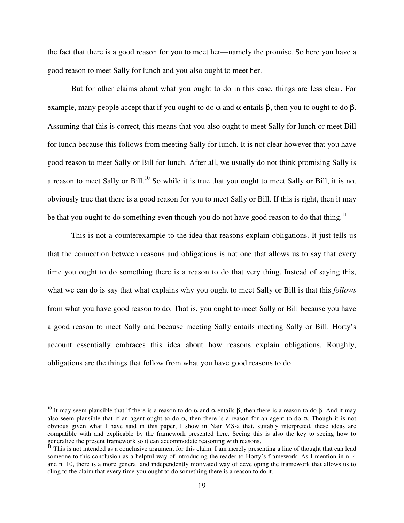the fact that there is a good reason for you to meet her—namely the promise. So here you have a good reason to meet Sally for lunch and you also ought to meet her.

 But for other claims about what you ought to do in this case, things are less clear. For example, many people accept that if you ought to do  $\alpha$  and  $\alpha$  entails  $\beta$ , then you to ought to do  $\beta$ . Assuming that this is correct, this means that you also ought to meet Sally for lunch or meet Bill for lunch because this follows from meeting Sally for lunch. It is not clear however that you have good reason to meet Sally or Bill for lunch. After all, we usually do not think promising Sally is a reason to meet Sally or Bill.<sup>10</sup> So while it is true that you ought to meet Sally or Bill, it is not obviously true that there is a good reason for you to meet Sally or Bill. If this is right, then it may be that you ought to do something even though you do not have good reason to do that thing.<sup>11</sup>

 This is not a counterexample to the idea that reasons explain obligations. It just tells us that the connection between reasons and obligations is not one that allows us to say that every time you ought to do something there is a reason to do that very thing. Instead of saying this, what we can do is say that what explains why you ought to meet Sally or Bill is that this *follows* from what you have good reason to do. That is, you ought to meet Sally or Bill because you have a good reason to meet Sally and because meeting Sally entails meeting Sally or Bill. Horty's account essentially embraces this idea about how reasons explain obligations. Roughly, obligations are the things that follow from what you have good reasons to do.

<sup>&</sup>lt;sup>10</sup> It may seem plausible that if there is a reason to do  $\alpha$  and  $\alpha$  entails  $\beta$ , then there is a reason to do  $\beta$ . And it may also seem plausible that if an agent ought to do  $\alpha$ , then there is a reason for an agent to do  $\alpha$ . Though it is not obvious given what I have said in this paper, I show in Nair MS-a that, suitably interpreted, these ideas are compatible with and explicable by the framework presented here. Seeing this is also the key to seeing how to generalize the present framework so it can accommodate reasoning with reasons.

<sup>&</sup>lt;sup>11</sup> This is not intended as a conclusive argument for this claim. I am merely presenting a line of thought that can lead someone to this conclusion as a helpful way of introducing the reader to Horty's framework. As I mention in n. 4 and n. 10, there is a more general and independently motivated way of developing the framework that allows us to cling to the claim that every time you ought to do something there is a reason to do it.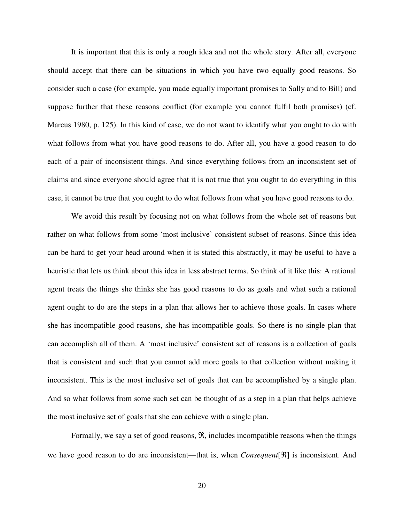It is important that this is only a rough idea and not the whole story. After all, everyone should accept that there can be situations in which you have two equally good reasons. So consider such a case (for example, you made equally important promises to Sally and to Bill) and suppose further that these reasons conflict (for example you cannot fulfil both promises) (cf. Marcus 1980, p. 125). In this kind of case, we do not want to identify what you ought to do with what follows from what you have good reasons to do. After all, you have a good reason to do each of a pair of inconsistent things. And since everything follows from an inconsistent set of claims and since everyone should agree that it is not true that you ought to do everything in this case, it cannot be true that you ought to do what follows from what you have good reasons to do.

 We avoid this result by focusing not on what follows from the whole set of reasons but rather on what follows from some 'most inclusive' consistent subset of reasons. Since this idea can be hard to get your head around when it is stated this abstractly, it may be useful to have a heuristic that lets us think about this idea in less abstract terms. So think of it like this: A rational agent treats the things she thinks she has good reasons to do as goals and what such a rational agent ought to do are the steps in a plan that allows her to achieve those goals. In cases where she has incompatible good reasons, she has incompatible goals. So there is no single plan that can accomplish all of them. A 'most inclusive' consistent set of reasons is a collection of goals that is consistent and such that you cannot add more goals to that collection without making it inconsistent. This is the most inclusive set of goals that can be accomplished by a single plan. And so what follows from some such set can be thought of as a step in a plan that helps achieve the most inclusive set of goals that she can achieve with a single plan.

 Formally, we say a set of good reasons, ℜ, includes incompatible reasons when the things we have good reason to do are inconsistent—that is, when *Consequent*[ℜ] is inconsistent. And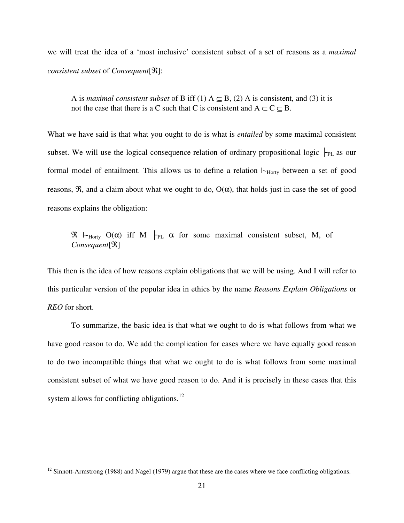we will treat the idea of a 'most inclusive' consistent subset of a set of reasons as a *maximal consistent subset* of *Consequent*[ℜ]:

A is *maximal consistent subset* of B iff (1)  $A \subseteq B$ , (2) A is consistent, and (3) it is not the case that there is a C such that C is consistent and  $A \subset C \subseteq B$ .

What we have said is that what you ought to do is what is *entailed* by some maximal consistent subset. We will use the logical consequence relation of ordinary propositional logic  $\vdash_{PL}$  as our formal model of entailment. This allows us to define a relation  $\vdash_{\text{Horty}}$  between a set of good reasons,  $\Re$ , and a claim about what we ought to do,  $O(\alpha)$ , that holds just in case the set of good reasons explains the obligation:

 $\Re$   $\vdash_{\text{Horty}}$  O( $\alpha$ ) iff M  $\vdash_{\text{PL}} \alpha$  for some maximal consistent subset, M, of *Consequent*[ℜ]

This then is the idea of how reasons explain obligations that we will be using. And I will refer to this particular version of the popular idea in ethics by the name *Reasons Explain Obligations* or *REO* for short.

 To summarize, the basic idea is that what we ought to do is what follows from what we have good reason to do. We add the complication for cases where we have equally good reason to do two incompatible things that what we ought to do is what follows from some maximal consistent subset of what we have good reason to do. And it is precisely in these cases that this system allows for conflicting obligations.<sup>12</sup>

<sup>&</sup>lt;sup>12</sup> Sinnott-Armstrong (1988) and Nagel (1979) argue that these are the cases where we face conflicting obligations.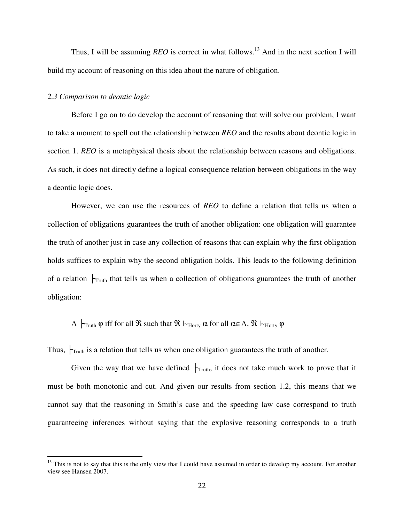Thus, I will be assuming *REO* is correct in what follows.<sup>13</sup> And in the next section I will build my account of reasoning on this idea about the nature of obligation.

#### *2.3 Comparison to deontic logic*

 $\overline{a}$ 

 Before I go on to do develop the account of reasoning that will solve our problem, I want to take a moment to spell out the relationship between *REO* and the results about deontic logic in section 1. *REO* is a metaphysical thesis about the relationship between reasons and obligations. As such, it does not directly define a logical consequence relation between obligations in the way a deontic logic does.

 However, we can use the resources of *REO* to define a relation that tells us when a collection of obligations guarantees the truth of another obligation: one obligation will guarantee the truth of another just in case any collection of reasons that can explain why the first obligation holds suffices to explain why the second obligation holds. This leads to the following definition of a relation  $\vdash_{\text{Truth}}$  that tells us when a collection of obligations guarantees the truth of another obligation:

## A  $\vdash_{\text{Truth}} \varphi$  iff for all  $\Re$  such that  $\Re \vdash_{\text{Horty}} \alpha$  for all  $\alpha \in A$ ,  $\Re \vdash_{\text{Horty}} \varphi$

Thus,  $\mathcal{F}_{\text{truth}}$  is a relation that tells us when one obligation guarantees the truth of another.

Given the way that we have defined  $\vdash_{\text{Truth}}$ , it does not take much work to prove that it must be both monotonic and cut. And given our results from section 1.2, this means that we cannot say that the reasoning in Smith's case and the speeding law case correspond to truth guaranteeing inferences without saying that the explosive reasoning corresponds to a truth

 $<sup>13</sup>$  This is not to say that this is the only view that I could have assumed in order to develop my account. For another</sup> view see Hansen 2007.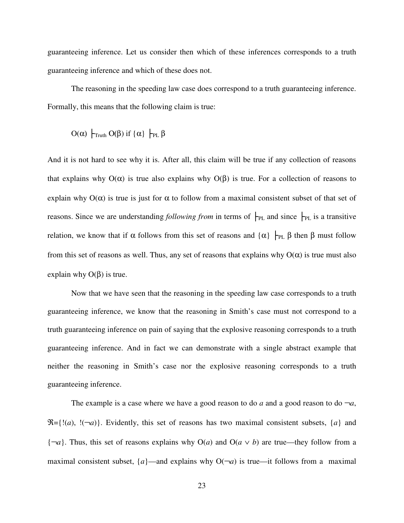guaranteeing inference. Let us consider then which of these inferences corresponds to a truth guaranteeing inference and which of these does not.

 The reasoning in the speeding law case does correspond to a truth guaranteeing inference. Formally, this means that the following claim is true:

$$
O(\alpha) \ \Big|_{\text{Truth}} O(\beta) \text{ if } \{\alpha\} \ \Big|_{\text{PL}} \beta
$$

And it is not hard to see why it is. After all, this claim will be true if any collection of reasons that explains why  $O(α)$  is true also explains why  $O(β)$  is true. For a collection of reasons to explain why  $O(\alpha)$  is true is just for  $\alpha$  to follow from a maximal consistent subset of that set of reasons. Since we are understanding *following from* in terms of  $\vdash_{PL}$  and since  $\vdash_{PL}$  is a transitive relation, we know that if  $\alpha$  follows from this set of reasons and  $\{\alpha\}$   $\vdash_{PL} \beta$  then  $\beta$  must follow from this set of reasons as well. Thus, any set of reasons that explains why  $O(\alpha)$  is true must also explain why  $O(β)$  is true.

 Now that we have seen that the reasoning in the speeding law case corresponds to a truth guaranteeing inference, we know that the reasoning in Smith's case must not correspond to a truth guaranteeing inference on pain of saying that the explosive reasoning corresponds to a truth guaranteeing inference. And in fact we can demonstrate with a single abstract example that neither the reasoning in Smith's case nor the explosive reasoning corresponds to a truth guaranteeing inference.

The example is a case where we have a good reason to do  $a$  and a good reason to do  $\neg a$ ,  $\mathcal{R} = \{!(a), \, !(\neg a)\}.$  Evidently, this set of reasons has two maximal consistent subsets,  $\{a\}$  and  ${\uparrow} \neg a$ . Thus, this set of reasons explains why O(*a*) and O(*a* ∨ *b*) are true—they follow from a maximal consistent subset,  $\{a\}$ —and explains why  $O(\neg a)$  is true—it follows from a maximal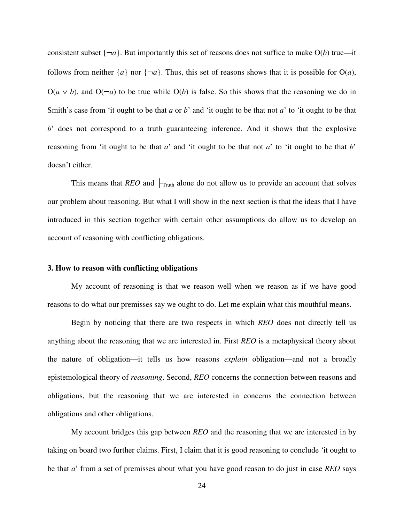consistent subset  $\{\neg a\}$ . But importantly this set of reasons does not suffice to make  $O(b)$  true—it follows from neither  $\{a\}$  nor  $\{\neg a\}$ . Thus, this set of reasons shows that it is possible for  $O(a)$ ,  $O(a \vee b)$ , and  $O(\neg a)$  to be true while  $O(b)$  is false. So this shows that the reasoning we do in Smith's case from 'it ought to be that *a* or *b*' and 'it ought to be that not *a*' to 'it ought to be that *b*' does not correspond to a truth guaranteeing inference. And it shows that the explosive reasoning from 'it ought to be that *a*' and 'it ought to be that not *a*' to 'it ought to be that *b*' doesn't either.

This means that *REO* and  $\big|_{\text{Truth}}$  alone do not allow us to provide an account that solves our problem about reasoning. But what I will show in the next section is that the ideas that I have introduced in this section together with certain other assumptions do allow us to develop an account of reasoning with conflicting obligations.

#### **3. How to reason with conflicting obligations**

 My account of reasoning is that we reason well when we reason as if we have good reasons to do what our premisses say we ought to do. Let me explain what this mouthful means.

 Begin by noticing that there are two respects in which *REO* does not directly tell us anything about the reasoning that we are interested in. First *REO* is a metaphysical theory about the nature of obligation—it tells us how reasons *explain* obligation—and not a broadly epistemological theory of *reasoning*. Second, *REO* concerns the connection between reasons and obligations, but the reasoning that we are interested in concerns the connection between obligations and other obligations.

 My account bridges this gap between *REO* and the reasoning that we are interested in by taking on board two further claims. First, I claim that it is good reasoning to conclude 'it ought to be that *a*' from a set of premisses about what you have good reason to do just in case *REO* says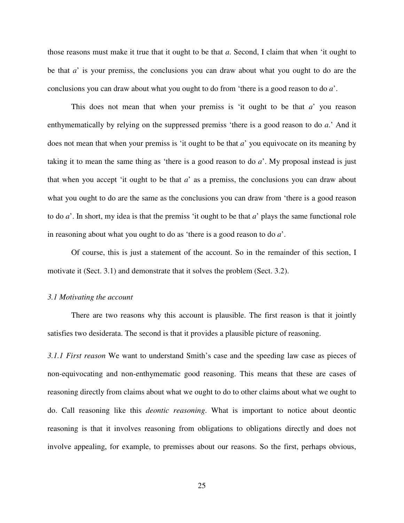those reasons must make it true that it ought to be that *a*. Second, I claim that when 'it ought to be that *a*' is your premiss, the conclusions you can draw about what you ought to do are the conclusions you can draw about what you ought to do from 'there is a good reason to do *a*'.

 This does not mean that when your premiss is 'it ought to be that *a*' you reason enthymematically by relying on the suppressed premiss 'there is a good reason to do *a*.' And it does not mean that when your premiss is 'it ought to be that *a*' you equivocate on its meaning by taking it to mean the same thing as 'there is a good reason to do *a*'. My proposal instead is just that when you accept 'it ought to be that *a*' as a premiss, the conclusions you can draw about what you ought to do are the same as the conclusions you can draw from 'there is a good reason to do *a*'. In short, my idea is that the premiss 'it ought to be that *a*' plays the same functional role in reasoning about what you ought to do as 'there is a good reason to do *a*'.

 Of course, this is just a statement of the account. So in the remainder of this section, I motivate it (Sect. 3.1) and demonstrate that it solves the problem (Sect. 3.2).

#### *3.1 Motivating the account*

 There are two reasons why this account is plausible. The first reason is that it jointly satisfies two desiderata. The second is that it provides a plausible picture of reasoning.

*3.1.1 First reason* We want to understand Smith's case and the speeding law case as pieces of non-equivocating and non-enthymematic good reasoning. This means that these are cases of reasoning directly from claims about what we ought to do to other claims about what we ought to do. Call reasoning like this *deontic reasoning*. What is important to notice about deontic reasoning is that it involves reasoning from obligations to obligations directly and does not involve appealing, for example, to premisses about our reasons. So the first, perhaps obvious,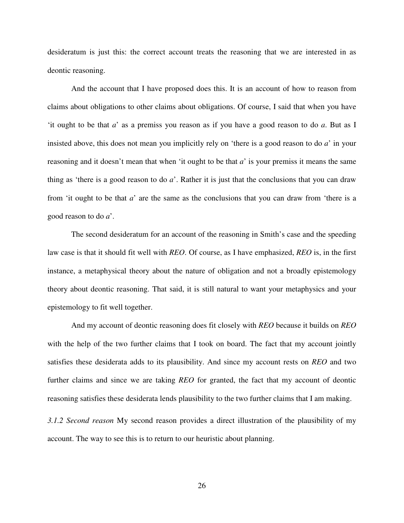desideratum is just this: the correct account treats the reasoning that we are interested in as deontic reasoning.

 And the account that I have proposed does this. It is an account of how to reason from claims about obligations to other claims about obligations. Of course, I said that when you have 'it ought to be that *a*' as a premiss you reason as if you have a good reason to do *a*. But as I insisted above, this does not mean you implicitly rely on 'there is a good reason to do *a*' in your reasoning and it doesn't mean that when 'it ought to be that *a*' is your premiss it means the same thing as 'there is a good reason to do *a*'. Rather it is just that the conclusions that you can draw from 'it ought to be that *a*' are the same as the conclusions that you can draw from 'there is a good reason to do *a*'.

 The second desideratum for an account of the reasoning in Smith's case and the speeding law case is that it should fit well with *REO*. Of course, as I have emphasized, *REO* is, in the first instance, a metaphysical theory about the nature of obligation and not a broadly epistemology theory about deontic reasoning. That said, it is still natural to want your metaphysics and your epistemology to fit well together.

 And my account of deontic reasoning does fit closely with *REO* because it builds on *REO* with the help of the two further claims that I took on board. The fact that my account jointly satisfies these desiderata adds to its plausibility. And since my account rests on *REO* and two further claims and since we are taking *REO* for granted, the fact that my account of deontic reasoning satisfies these desiderata lends plausibility to the two further claims that I am making.

*3.1.2 Second reason* My second reason provides a direct illustration of the plausibility of my account. The way to see this is to return to our heuristic about planning.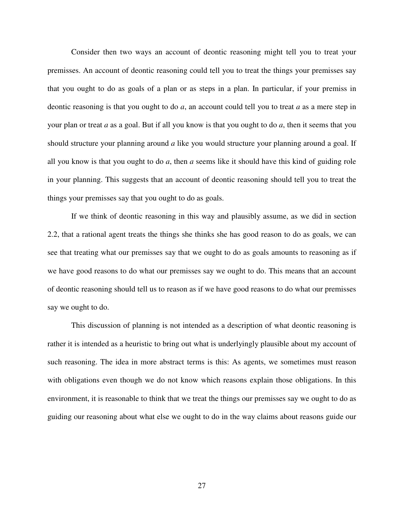Consider then two ways an account of deontic reasoning might tell you to treat your premisses. An account of deontic reasoning could tell you to treat the things your premisses say that you ought to do as goals of a plan or as steps in a plan. In particular, if your premiss in deontic reasoning is that you ought to do *a*, an account could tell you to treat *a* as a mere step in your plan or treat *a* as a goal. But if all you know is that you ought to do *a*, then it seems that you should structure your planning around *a* like you would structure your planning around a goal. If all you know is that you ought to do *a*, then *a* seems like it should have this kind of guiding role in your planning. This suggests that an account of deontic reasoning should tell you to treat the things your premisses say that you ought to do as goals.

If we think of deontic reasoning in this way and plausibly assume, as we did in section 2.2, that a rational agent treats the things she thinks she has good reason to do as goals, we can see that treating what our premisses say that we ought to do as goals amounts to reasoning as if we have good reasons to do what our premisses say we ought to do. This means that an account of deontic reasoning should tell us to reason as if we have good reasons to do what our premisses say we ought to do.

 This discussion of planning is not intended as a description of what deontic reasoning is rather it is intended as a heuristic to bring out what is underlyingly plausible about my account of such reasoning. The idea in more abstract terms is this: As agents, we sometimes must reason with obligations even though we do not know which reasons explain those obligations. In this environment, it is reasonable to think that we treat the things our premisses say we ought to do as guiding our reasoning about what else we ought to do in the way claims about reasons guide our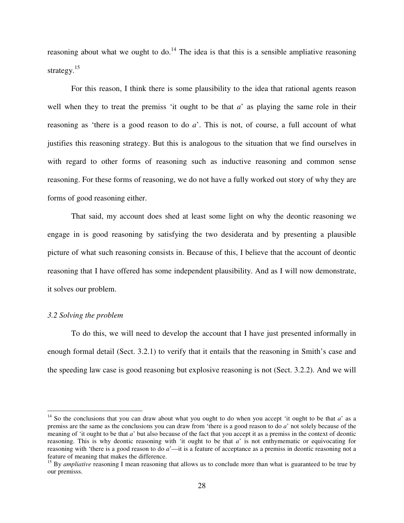reasoning about what we ought to do.<sup>14</sup> The idea is that this is a sensible ampliative reasoning strategy. $15$ 

 For this reason, I think there is some plausibility to the idea that rational agents reason well when they to treat the premiss 'it ought to be that  $a$ ' as playing the same role in their reasoning as 'there is a good reason to do *a*'. This is not, of course, a full account of what justifies this reasoning strategy. But this is analogous to the situation that we find ourselves in with regard to other forms of reasoning such as inductive reasoning and common sense reasoning. For these forms of reasoning, we do not have a fully worked out story of why they are forms of good reasoning either.

 That said, my account does shed at least some light on why the deontic reasoning we engage in is good reasoning by satisfying the two desiderata and by presenting a plausible picture of what such reasoning consists in. Because of this, I believe that the account of deontic reasoning that I have offered has some independent plausibility. And as I will now demonstrate, it solves our problem.

#### *3.2 Solving the problem*

 $\overline{a}$ 

To do this, we will need to develop the account that I have just presented informally in enough formal detail (Sect. 3.2.1) to verify that it entails that the reasoning in Smith's case and the speeding law case is good reasoning but explosive reasoning is not (Sect. 3.2.2). And we will

<sup>&</sup>lt;sup>14</sup> So the conclusions that you can draw about what you ought to do when you accept 'it ought to be that  $a'$  as a premiss are the same as the conclusions you can draw from 'there is a good reason to do *a*' not solely because of the meaning of 'it ought to be that *a*' but also because of the fact that you accept it as a premiss in the context of deontic reasoning. This is why deontic reasoning with 'it ought to be that *a*' is not enthymematic or equivocating for reasoning with 'there is a good reason to do *a*'—it is a feature of acceptance as a premiss in deontic reasoning not a feature of meaning that makes the difference.

<sup>&</sup>lt;sup>15</sup> By *ampliative* reasoning I mean reasoning that allows us to conclude more than what is guaranteed to be true by our premisss.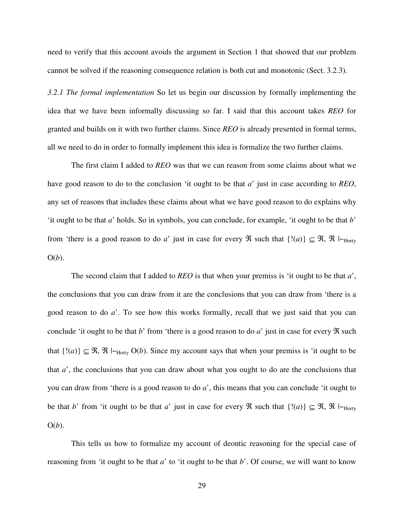need to verify that this account avoids the argument in Section 1 that showed that our problem cannot be solved if the reasoning consequence relation is both cut and monotonic (Sect. 3.2.3).

*3.2.1 The formal implementation* So let us begin our discussion by formally implementing the idea that we have been informally discussing so far. I said that this account takes *REO* for granted and builds on it with two further claims. Since *REO* is already presented in formal terms, all we need to do in order to formally implement this idea is formalize the two further claims.

 The first claim I added to *REO* was that we can reason from some claims about what we have good reason to do to the conclusion 'it ought to be that *a*' just in case according to *REO*, any set of reasons that includes these claims about what we have good reason to do explains why 'it ought to be that *a*' holds. So in symbols, you can conclude, for example, 'it ought to be that *b*' from 'there is a good reason to do *a*' just in case for every  $\Re$  such that  $\{!(a)\}\subseteq \Re$ ,  $\Re \mid_{\text{Horty}}$ O(*b*).

 The second claim that I added to *REO* is that when your premiss is 'it ought to be that *a*', the conclusions that you can draw from it are the conclusions that you can draw from 'there is a good reason to do *a*'. To see how this works formally, recall that we just said that you can conclude 'it ought to be that *b*' from 'there is a good reason to do *a*' just in case for every  $\Re$  such that  $\{!(a)\}\subseteq \mathfrak{R}, \mathfrak{R} \models_{\text{Horty}} O(b)$ . Since my account says that when your premiss is 'it ought to be that *a*', the conclusions that you can draw about what you ought to do are the conclusions that you can draw from 'there is a good reason to do *a*', this means that you can conclude 'it ought to be that *b*' from 'it ought to be that *a*' just in case for every  $\Re$  such that  $\{!(a)\}\subseteq \Re$ ,  $\Re \vdash_{\text{Hortv}}$ O(*b*).

 This tells us how to formalize my account of deontic reasoning for the special case of reasoning from 'it ought to be that *a*' to 'it ought to be that *b*'. Of course, we will want to know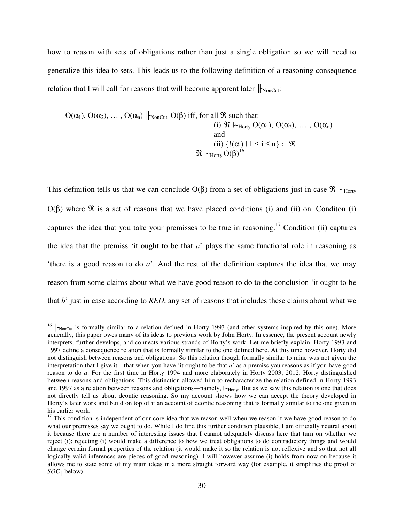how to reason with sets of obligations rather than just a single obligation so we will need to generalize this idea to sets. This leads us to the following definition of a reasoning consequence relation that I will call for reasons that will become apparent later  $\|_{\text{NonCut}}$ :

$$
O(\alpha_1), O(\alpha_2), \ldots, O(\alpha_n) \parallel_{\text{NonCut}} O(\beta) \text{ iff, for all } \Re \text{ such that:}
$$
\n(i)  $\Re \mid_{\text{-Horty}} O(\alpha_1), O(\alpha_2), \ldots, O(\alpha_n)$ \nand\n(ii)  $\{!(\alpha_i) \mid 1 \leq i \leq n\} \subseteq \Re$ \n $\Re \mid_{\text{-Horty}} O(\beta)^{16}$ 

This definition tells us that we can conclude  $O(\beta)$  from a set of obligations just in case  $\Re \models_{\text{Hortv}}$  $O(\beta)$  where  $\Re$  is a set of reasons that we have placed conditions (i) and (ii) on. Condition (i) captures the idea that you take your premisses to be true in reasoning.<sup>17</sup> Condition (ii) captures the idea that the premiss 'it ought to be that *a*' plays the same functional role in reasoning as 'there is a good reason to do *a*'. And the rest of the definition captures the idea that we may reason from some claims about what we have good reason to do to the conclusion 'it ought to be that *b*' just in case according to *REO*, any set of reasons that includes these claims about what we

 $16$   $\parallel$ NonCut is formally similar to a relation defined in Horty 1993 (and other systems inspired by this one). More generally, this paper owes many of its ideas to previous work by John Horty. In essence, the present account newly interprets, further develops, and connects various strands of Horty's work. Let me briefly explain. Horty 1993 and 1997 define a consequence relation that is formally similar to the one defined here. At this time however, Horty did not distinguish between reasons and obligations. So this relation though formally similar to mine was not given the interpretation that I give it—that when you have 'it ought to be that *a*' as a premiss you reasons as if you have good reason to do *a*. For the first time in Horty 1994 and more elaborately in Horty 2003, 2012, Horty distinguished between reasons and obligations. This distinction allowed him to recharacterize the relation defined in Horty 1993 and 1997 as a relation between reasons and obligations—namely,  $|\sim_{\text{Horty}}$ . But as we saw this relation is one that does not directly tell us about deontic reasoning. So my account shows how we can accept the theory developed in Horty's later work and build on top of it an account of deontic reasoning that is formally similar to the one given in his earlier work.

 $17$  This condition is independent of our core idea that we reason well when we reason if we have good reason to do what our premisses say we ought to do. While I do find this further condition plausible, I am officially neutral about it because there are a number of interesting issues that I cannot adequately discuss here that turn on whether we reject (i): rejecting (i) would make a difference to how we treat obligations to do contradictory things and would change certain formal properties of the relation (it would make it so the relation is not reflexive and so that not all logically valid inferences are pieces of good reasoning). I will however assume (i) holds from now on because it allows me to state some of my main ideas in a more straight forward way (for example, it simplifies the proof of *SOC*╟ below)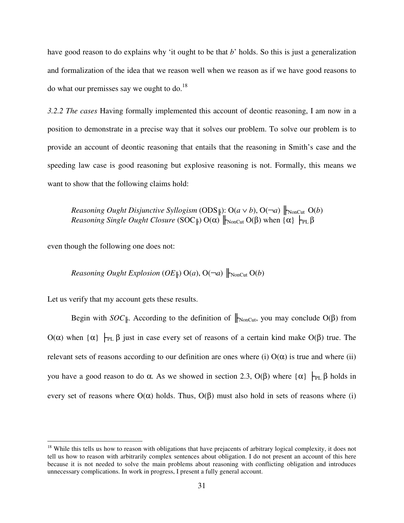have good reason to do explains why 'it ought to be that *b*' holds. So this is just a generalization and formalization of the idea that we reason well when we reason as if we have good reasons to do what our premisses say we ought to  $\text{do.}^{18}$ 

*3.2.2 The cases* Having formally implemented this account of deontic reasoning, I am now in a position to demonstrate in a precise way that it solves our problem. To solve our problem is to provide an account of deontic reasoning that entails that the reasoning in Smith's case and the speeding law case is good reasoning but explosive reasoning is not. Formally, this means we want to show that the following claims hold:

*Reasoning Ought Disjunctive Syllogism* (ODS $\Vert$ ): O( $a \lor b$ ), O( $\neg a$ )  $\Vert_{\text{NonCut}}$  O( $b$ ) *Reasoning Single Ought Closure* (SOC<sub></sub>||) O(α)  $\|$ <sub>NonCut</sub> O(β) when {α}  $\|$ <sub>PL</sub> β

even though the following one does not:

 $\overline{a}$ 

*Reasoning Ought Explosion*  $OE \parallel$ ) O(*a*), O( $\neg a$ )  $\parallel$ <sub>NonCut</sub> O(*b*)

Let us verify that my account gets these results.

Begin with *SOC*<sup> $\|$ </sup>. According to the definition of  $\|$ <sub>NonCut</sub>, you may conclude O(β) from O(α) when  $\{\alpha\}$   $\vdash_{PL} \beta$  just in case every set of reasons of a certain kind make O(β) true. The relevant sets of reasons according to our definition are ones where (i)  $O(\alpha)$  is true and where (ii) you have a good reason to do α. As we showed in section 2.3, O(β) where  $\{\alpha\}$   $\vdash_{PL} \beta$  holds in every set of reasons where  $O(\alpha)$  holds. Thus,  $O(\beta)$  must also hold in sets of reasons where (i)

 $18$  While this tells us how to reason with obligations that have prejacents of arbitrary logical complexity, it does not tell us how to reason with arbitrarily complex sentences about obligation. I do not present an account of this here because it is not needed to solve the main problems about reasoning with conflicting obligation and introduces unnecessary complications. In work in progress, I present a fully general account.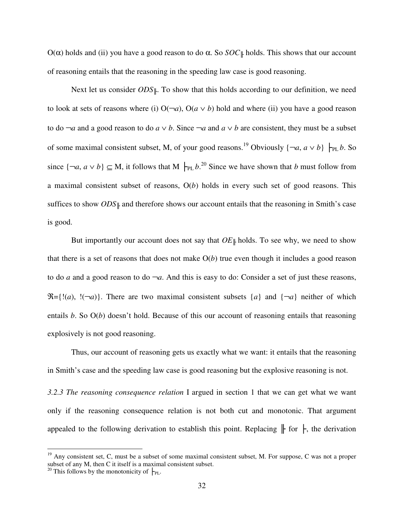O(α) holds and (ii) you have a good reason to do  $\alpha$ . So *SOC*<sup> $\parallel$ </sup> holds. This shows that our account of reasoning entails that the reasoning in the speeding law case is good reasoning.

Next let us consider *ODS*⊪. To show that this holds according to our definition, we need to look at sets of reasons where (i)  $O(\neg a)$ ,  $O(a \lor b)$  hold and where (ii) you have a good reason to do  $\neg a$  and a good reason to do  $a ∨ b$ . Since  $\neg a$  and  $a ∨ b$  are consistent, they must be a subset of some maximal consistent subset, M, of your good reasons.<sup>19</sup> Obviously  $\{\neg a, a \lor b\}$   $\vdash_{\text{PL}} b$ . So since  $\{\neg a, a \lor b\} \subseteq M$ , it follows that M  $\vdash_{PL} b$ <sup>20</sup> Since we have shown that *b* must follow from a maximal consistent subset of reasons, O(*b*) holds in every such set of good reasons. This suffices to show *ODS*<sup>∥</sup> and therefore shows our account entails that the reasoning in Smith's case is good.

But importantly our account does not say that  $OE$ <sup> $\parallel$ </sup> holds. To see why, we need to show that there is a set of reasons that does not make  $O(b)$  true even though it includes a good reason to do *a* and a good reason to do  $\neg a$ . And this is easy to do: Consider a set of just these reasons,  $\mathcal{R} = \{!(a), \, !(\neg a)\}.$  There are two maximal consistent subsets  $\{a\}$  and  $\{\neg a\}$  neither of which entails *b*. So O(*b*) doesn't hold. Because of this our account of reasoning entails that reasoning explosively is not good reasoning.

 Thus, our account of reasoning gets us exactly what we want: it entails that the reasoning in Smith's case and the speeding law case is good reasoning but the explosive reasoning is not.

*3.2.3 The reasoning consequence relation* I argued in section 1 that we can get what we want only if the reasoning consequence relation is not both cut and monotonic. That argument appealed to the following derivation to establish this point. Replacing  $\|$  for  $\|$ , the derivation

 $19$  Any consistent set, C, must be a subset of some maximal consistent subset, M. For suppose, C was not a proper subset of any M, then C it itself is a maximal consistent subset.

<sup>&</sup>lt;sup>20</sup> This follows by the monotonicity of  $\vdash_{PL}$ .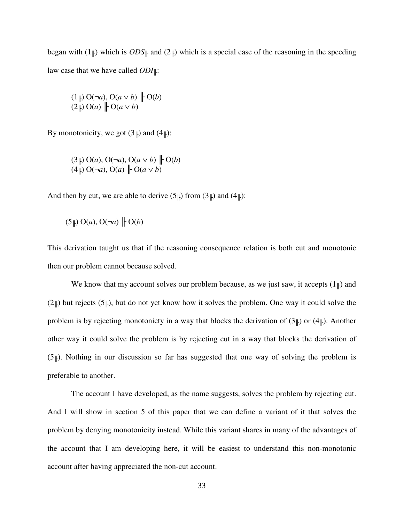began with  $(1\vert)$  which is  $ODS\vert\vert$  and  $(2\vert)$  which is a special case of the reasoning in the speeding law case that we have called *ODI*⊪:

$$
(1 \parallel) O(\neg a), O(a \vee b) \parallel O(b)
$$
  

$$
(2 \parallel) O(a) \parallel O(a \vee b)
$$

By monotonicity, we got  $(3\mu)$  and  $(4\mu)$ :

$$
(3\mathcal{F})\ O(a), O(\neg a), O(a \lor b) \mathcal{F} O(b)
$$
  

$$
(4\mathcal{F})\ O(\neg a), O(a) \mathcal{F} O(a \lor b)
$$

And then by cut, we are able to derive  $(5\mu)$  from  $(3\mu)$  and  $(4\mu)$ :

$$
(5 \parallel) O(a), O(\neg a) \parallel O(b)
$$

This derivation taught us that if the reasoning consequence relation is both cut and monotonic then our problem cannot because solved.

We know that my account solves our problem because, as we just saw, it accepts  $(1\vert\mu)$  and  $(2\mu)$  but rejects  $(5\mu)$ , but do not yet know how it solves the problem. One way it could solve the problem is by rejecting monotonicty in a way that blocks the derivation of  $(3\mu)$  or  $(4\mu)$ . Another other way it could solve the problem is by rejecting cut in a way that blocks the derivation of  $(5)$ . Nothing in our discussion so far has suggested that one way of solving the problem is preferable to another.

The account I have developed, as the name suggests, solves the problem by rejecting cut. And I will show in section 5 of this paper that we can define a variant of it that solves the problem by denying monotonicity instead. While this variant shares in many of the advantages of the account that I am developing here, it will be easiest to understand this non-monotonic account after having appreciated the non-cut account.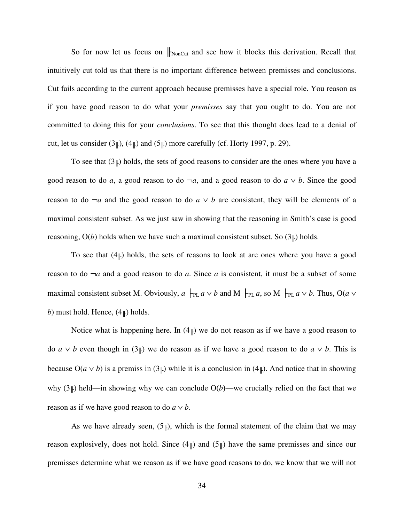So for now let us focus on  $\|_{\text{NonCut}}$  and see how it blocks this derivation. Recall that intuitively cut told us that there is no important difference between premisses and conclusions. Cut fails according to the current approach because premisses have a special role. You reason as if you have good reason to do what your *premisses* say that you ought to do. You are not committed to doing this for your *conclusions*. To see that this thought does lead to a denial of cut, let us consider  $(3\mu)$ ,  $(4\mu)$  and  $(5\mu)$  more carefully (cf. Horty 1997, p. 29).

To see that  $(3\mu)$  holds, the sets of good reasons to consider are the ones where you have a good reason to do *a*, a good reason to do  $\neg a$ , and a good reason to do  $a \lor b$ . Since the good reason to do  $\neg a$  and the good reason to do  $a \lor b$  are consistent, they will be elements of a maximal consistent subset. As we just saw in showing that the reasoning in Smith's case is good reasoning,  $O(b)$  holds when we have such a maximal consistent subset. So  $(3\mu)$  holds.

To see that  $(4\mu)$  holds, the sets of reasons to look at are ones where you have a good reason to do ¬*a* and a good reason to do *a*. Since *a* is consistent, it must be a subset of some maximal consistent subset M. Obviously,  $a \models_{PL} a \lor b$  and M  $\models_{PL} a$ , so M  $\models_{PL} a \lor b$ . Thus, O( $a \lor$ *b*) must hold. Hence,  $(4\mu)$  holds.

Notice what is happening here. In  $(4\mu)$  we do not reason as if we have a good reason to do  $a \vee b$  even though in (3<sup>||</sup>) we do reason as if we have a good reason to do  $a \vee b$ . This is because  $O(a \vee b)$  is a premiss in  $(3\uparrow)$  while it is a conclusion in  $(4\uparrow)$ . And notice that in showing why  $(3\vert)$  held—in showing why we can conclude O(*b*)—we crucially relied on the fact that we reason as if we have good reason to do  $a \vee b$ .

As we have already seen,  $(5\mu)$ , which is the formal statement of the claim that we may reason explosively, does not hold. Since  $(4\mu)$  and  $(5\mu)$  have the same premisses and since our premisses determine what we reason as if we have good reasons to do, we know that we will not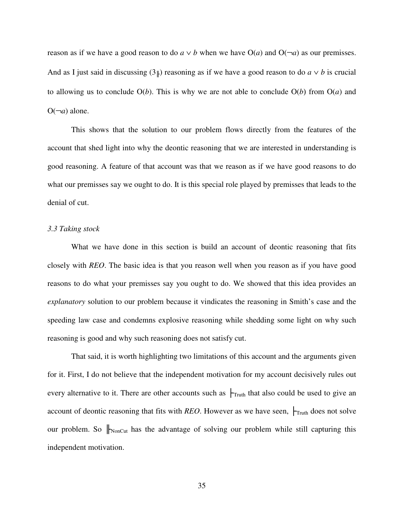reason as if we have a good reason to do  $a \vee b$  when we have O(*a*) and O( $\neg a$ ) as our premisses. And as I just said in discussing  $(3\mu)$  reasoning as if we have a good reason to do  $a \vee b$  is crucial to allowing us to conclude  $O(b)$ . This is why we are not able to conclude  $O(b)$  from  $O(a)$  and  $O(\neg a)$  alone.

 This shows that the solution to our problem flows directly from the features of the account that shed light into why the deontic reasoning that we are interested in understanding is good reasoning. A feature of that account was that we reason as if we have good reasons to do what our premisses say we ought to do. It is this special role played by premisses that leads to the denial of cut.

### *3.3 Taking stock*

 What we have done in this section is build an account of deontic reasoning that fits closely with *REO*. The basic idea is that you reason well when you reason as if you have good reasons to do what your premisses say you ought to do. We showed that this idea provides an *explanatory* solution to our problem because it vindicates the reasoning in Smith's case and the speeding law case and condemns explosive reasoning while shedding some light on why such reasoning is good and why such reasoning does not satisfy cut.

That said, it is worth highlighting two limitations of this account and the arguments given for it. First, I do not believe that the independent motivation for my account decisively rules out every alternative to it. There are other accounts such as  $\vdash_{\text{Truth}}$  that also could be used to give an account of deontic reasoning that fits with *REO*. However as we have seen,  $\vdash_{\text{Truth}}$  does not solve our problem. So  $\|$ <sub>NonCut</sub> has the advantage of solving our problem while still capturing this independent motivation.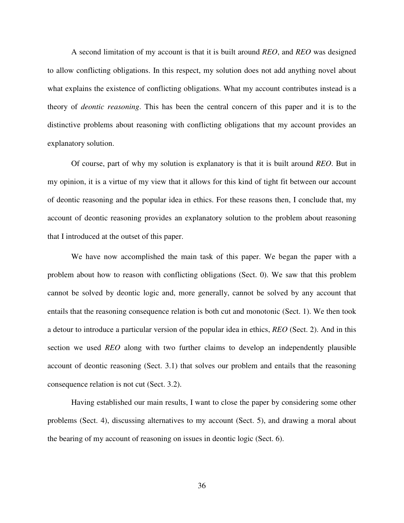A second limitation of my account is that it is built around *REO*, and *REO* was designed to allow conflicting obligations. In this respect, my solution does not add anything novel about what explains the existence of conflicting obligations. What my account contributes instead is a theory of *deontic reasoning*. This has been the central concern of this paper and it is to the distinctive problems about reasoning with conflicting obligations that my account provides an explanatory solution.

Of course, part of why my solution is explanatory is that it is built around *REO*. But in my opinion, it is a virtue of my view that it allows for this kind of tight fit between our account of deontic reasoning and the popular idea in ethics. For these reasons then, I conclude that, my account of deontic reasoning provides an explanatory solution to the problem about reasoning that I introduced at the outset of this paper.

 We have now accomplished the main task of this paper. We began the paper with a problem about how to reason with conflicting obligations (Sect. 0). We saw that this problem cannot be solved by deontic logic and, more generally, cannot be solved by any account that entails that the reasoning consequence relation is both cut and monotonic (Sect. 1). We then took a detour to introduce a particular version of the popular idea in ethics, *REO* (Sect. 2). And in this section we used *REO* along with two further claims to develop an independently plausible account of deontic reasoning (Sect. 3.1) that solves our problem and entails that the reasoning consequence relation is not cut (Sect. 3.2).

Having established our main results, I want to close the paper by considering some other problems (Sect. 4), discussing alternatives to my account (Sect. 5), and drawing a moral about the bearing of my account of reasoning on issues in deontic logic (Sect. 6).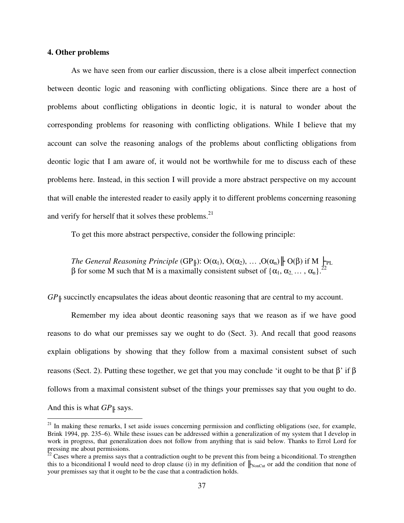### **4. Other problems**

l

As we have seen from our earlier discussion, there is a close albeit imperfect connection between deontic logic and reasoning with conflicting obligations. Since there are a host of problems about conflicting obligations in deontic logic, it is natural to wonder about the corresponding problems for reasoning with conflicting obligations. While I believe that my account can solve the reasoning analogs of the problems about conflicting obligations from deontic logic that I am aware of, it would not be worthwhile for me to discuss each of these problems here. Instead, in this section I will provide a more abstract perspective on my account that will enable the interested reader to easily apply it to different problems concerning reasoning and verify for herself that it solves these problems.<sup>21</sup>

To get this more abstract perspective, consider the following principle:

*The General Reasoning Principle* (GP<sub>||</sub>):  $O(\alpha_1)$ ,  $O(\alpha_2)$ , ... , $O(\alpha_n)$ ||  $O(\beta)$  if M  $\vdash_{PL}$ β for some M such that M is a maximally consistent subset of  $\{\alpha_1, \alpha_2, ..., \alpha_n\}$ <sup>22</sup>

*GP*<sup>∥</sup> succinctly encapsulates the ideas about deontic reasoning that are central to my account.

 Remember my idea about deontic reasoning says that we reason as if we have good reasons to do what our premisses say we ought to do (Sect. 3). And recall that good reasons explain obligations by showing that they follow from a maximal consistent subset of such reasons (Sect. 2). Putting these together, we get that you may conclude 'it ought to be that β' if β follows from a maximal consistent subset of the things your premisses say that you ought to do. And this is what *GP*<sup>∥</sup> says.

<sup>&</sup>lt;sup>21</sup> In making these remarks, I set aside issues concerning permission and conflicting obligations (see, for example, Brink 1994, pp. 235–6). While these issues can be addressed within a generalization of my system that I develop in work in progress, that generalization does not follow from anything that is said below. Thanks to Errol Lord for pressing me about permissions.

 $^{22}$  Cases where a premiss says that a contradiction ought to be prevent this from being a biconditional. To strengthen this to a biconditional I would need to drop clause (i) in my definition of  $\|_{\text{NonCut}}$  or add the condition that none of your premisses say that it ought to be the case that a contradiction holds.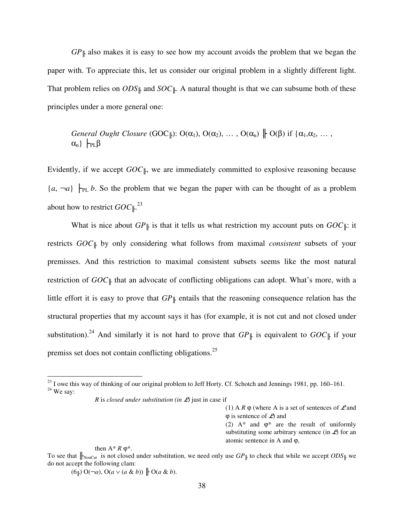$GP$ | also makes it is easy to see how my account avoids the problem that we began the paper with. To appreciate this, let us consider our original problem in a slightly different light. That problem relies on  $ODS$ || and  $SOC$ ||. A natural thought is that we can subsume both of these principles under a more general one:

*General Ought Closure* (GOC<sub>||</sub>): 
$$
O(\alpha_1)
$$
,  $O(\alpha_2)$ , ...,  $O(\alpha_n)$   $\parallel$   $O(\beta)$  if  $\{\alpha_1, \alpha_2, ..., \alpha_n\}$   $\vdash_{PL}\beta$ 

Evidently, if we accept  $GOC_{\parallel}$ , we are immediately committed to explosive reasoning because  ${a, \neg a}$   $\vdash_{PL} b$ . So the problem that we began the paper with can be thought of as a problem about how to restrict  $GOC \, \parallel^{23}$ 

What is nice about  $GP$ <sup> $\parallel$ </sup> is that it tells us what restriction my account puts on  $GOC$ <sup> $\parallel$ </sup>: it restricts *GOC*╟ by only considering what follows from maximal *consistent* subsets of your premisses. And this restriction to maximal consistent subsets seems like the most natural restriction of *GOC*<sup>∥</sup> that an advocate of conflicting obligations can adopt. What's more, with a little effort it is easy to prove that *GP*╟ entails that the reasoning consequence relation has the structural properties that my account says it has (for example, it is not cut and not closed under substitution).<sup>24</sup> And similarly it is not hard to prove that  $GP$ <sup> $\parallel$ </sup> is equivalent to  $GOC$ <sup> $\parallel$ </sup> if your premiss set does not contain conflicting obligations.<sup>25</sup>

then  $A^* R \varphi^*$ .

 $\overline{a}$ 

 $(6\,\,\parallel)\,\mathrm{O}(\neg a)$ ,  $\mathrm{O}(a \vee (a \& b))$   $\parallel \mathrm{O}(a \& b)$ .

 $^{23}$  I owe this way of thinking of our original problem to Jeff Horty. Cf. Schotch and Jennings 1981, pp. 160–161.  $24$  We say:

*R* is *closed under substitution* (in  $\mathcal{L}$ ) just in case if

<sup>(1)</sup> A  $R \varphi$  (where A is a set of sentences of  $\mathcal L$  and  $\varphi$  is sentence of  $\mathcal{L}$  and

<sup>(2)</sup>  $A^*$  and  $\varphi^*$  are the result of uniformly substituting some arbitrary sentence (in  $\mathcal{L}$ ) for an atomic sentence in A and ϕ,

To see that  $\|_{\text{NonCut}}$  is not closed under substitution, we need only use  $GP_{\parallel}$  to check that while we accept  $ODS_{\parallel}$  we do not accept the following clam: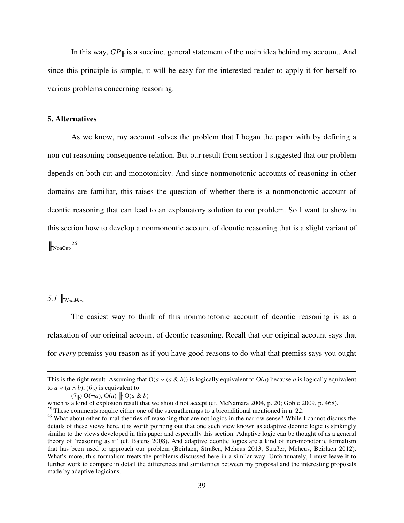In this way, *GP*╟ is a succinct general statement of the main idea behind my account. And since this principle is simple, it will be easy for the interested reader to apply it for herself to various problems concerning reasoning.

#### **5. Alternatives**

 As we know, my account solves the problem that I began the paper with by defining a non-cut reasoning consequence relation. But our result from section 1 suggested that our problem depends on both cut and monotonicity. And since nonmonotonic accounts of reasoning in other domains are familiar, this raises the question of whether there is a nonmonotonic account of deontic reasoning that can lead to an explanatory solution to our problem. So I want to show in this section how to develop a nonmonontic account of deontic reasoning that is a slight variant of  $N$ onCut.<sup>26</sup>

# *5.1* ╟*NonMon*

 $\overline{a}$ 

The easiest way to think of this nonmonotonic account of deontic reasoning is as a relaxation of our original account of deontic reasoning. Recall that our original account says that for *every* premiss you reason as if you have good reasons to do what that premiss says you ought

This is the right result. Assuming that  $O(a \vee (a \& b))$  is logically equivalent to  $O(a)$  because *a* is logically equivalent to  $a \vee (a \wedge b)$ ,  $(6_{\parallel})$  is equivalent to

 $(7 \n\parallel) O(\neg a)$ ,  $O(a) \n\parallel O(a \& b)$ 

which is a kind of explosion result that we should not accept (cf. McNamara 2004, p. 20; Goble 2009, p. 468).

<sup>&</sup>lt;sup>25</sup> These comments require either one of the strengthenings to a biconditional mentioned in n. 22.

<sup>&</sup>lt;sup>26</sup> What about other formal theories of reasoning that are not logics in the narrow sense? While I cannot discuss the details of these views here, it is worth pointing out that one such view known as adaptive deontic logic is strikingly similar to the views developed in this paper and especially this section. Adaptive logic can be thought of as a general theory of 'reasoning as if' (cf. Batens 2008). And adaptive deontic logics are a kind of non-monotonic formalism that has been used to approach our problem (Beirlaen, Straßer, Meheus 2013, Straßer, Meheus, Beirlaen 2012). What's more, this formalism treats the problems discussed here in a similar way. Unfortunately, I must leave it to further work to compare in detail the differences and similarities between my proposal and the interesting proposals made by adaptive logicians.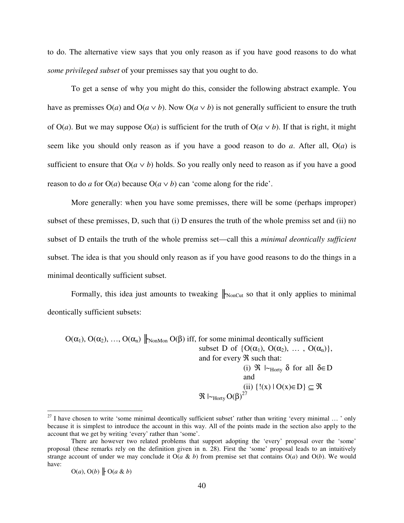to do. The alternative view says that you only reason as if you have good reasons to do what *some privileged subset* of your premisses say that you ought to do.

To get a sense of why you might do this, consider the following abstract example. You have as premisses  $O(a)$  and  $O(a \vee b)$ . Now  $O(a \vee b)$  is not generally sufficient to ensure the truth of  $O(a)$ . But we may suppose  $O(a)$  is sufficient for the truth of  $O(a \vee b)$ . If that is right, it might seem like you should only reason as if you have a good reason to do *a*. After all, O(*a*) is sufficient to ensure that  $O(a \vee b)$  holds. So you really only need to reason as if you have a good reason to do *a* for  $O(a)$  because  $O(a \vee b)$  can 'come along for the ride'.

More generally: when you have some premisses, there will be some (perhaps improper) subset of these premisses, D, such that (i) D ensures the truth of the whole premiss set and (ii) no subset of D entails the truth of the whole premiss set—call this a *minimal deontically sufficient* subset. The idea is that you should only reason as if you have good reasons to do the things in a minimal deontically sufficient subset.

Formally, this idea just amounts to tweaking  $\|_{\text{NonCut}}$  so that it only applies to minimal deontically sufficient subsets:

 $O(\alpha_1)$ ,  $O(\alpha_2)$ , ...,  $O(\alpha_n)$   $\big|_{\text{NonMon}} O(\beta)$  iff, for some minimal deontically sufficient subset D of  $\{O(\alpha_1), O(\alpha_2), \ldots, O(\alpha_n)\},\$ and for every  $\Re$  such that: (i)  $\Re$   $\vdash_{\text{Horty}} \delta$  for all  $\delta \in D$ and (ii)  $\{!(x) \mid O(x) \in D\} \subseteq \Re$  $\mathfrak{R} \models_{\mathrm{Horty}} \mathrm{O}(\beta)^{27}$ 

 $O(a)$ ,  $O(b)$   $\parallel$   $O(a \& b)$ 

 $27$  I have chosen to write 'some minimal deontically sufficient subset' rather than writing 'every minimal ... ' only because it is simplest to introduce the account in this way. All of the points made in the section also apply to the account that we get by writing 'every' rather than 'some'.

There are however two related problems that support adopting the 'every' proposal over the 'some' proposal (these remarks rely on the definition given in n. 28). First the 'some' proposal leads to an intuitively strange account of under we may conclude it  $O(a \& b)$  from premise set that contains  $O(a)$  and  $O(b)$ . We would have: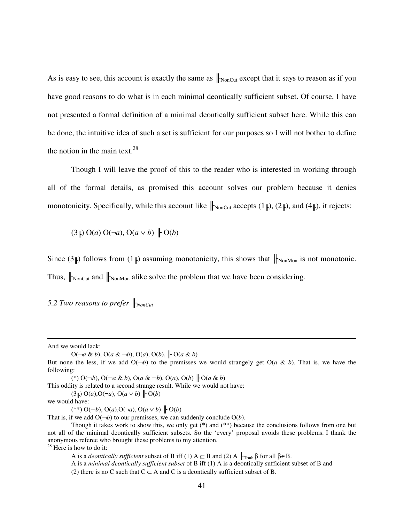As is easy to see, this account is exactly the same as  $\|_{\text{NonCut}}$  except that it says to reason as if you have good reasons to do what is in each minimal deontically sufficient subset. Of course, I have not presented a formal definition of a minimal deontically sufficient subset here. While this can be done, the intuitive idea of such a set is sufficient for our purposes so I will not bother to define the notion in the main text. $28$ 

 Though I will leave the proof of this to the reader who is interested in working through all of the formal details, as promised this account solves our problem because it denies monotonicity. Specifically, while this account like  $\|_{\text{NonCut}}$  accepts  $(1\|), (2\|),$  and  $(4\|),$  it rejects:

 $(3\|\text{)}$  O(*a*) O(¬*a*), O(*a*  $\vee$  *b*)  $\|\text{O}(b)$ 

Since  $(3\mu)$  follows from  $(1\mu)$  assuming monotonicity, this shows that  $\|\cdot\|_{\text{NonMon}}$  is not monotonic. Thus,  $\|_{\text{NonCut}}$  and  $\|_{\text{NonMon}}$  alike solve the problem that we have been considering.

*5.2 Two reasons to prefer* ╟*NonCut*

And we would lack:

 $\overline{a}$ 

O(¬*a* & *b*), O(*a* & ¬*b*), O(*a*), O(*b*), ╟ O(*a* & *b*)

(\*) O(¬*b*), O(¬*a* & *b*), O(*a* & ¬*b*), O(*a*), O(*b*) ╟ O(*a* & *b*)

This oddity is related to a second strange result. While we would not have:

 $(3\vert)$  O(*a*), O( $\neg a$ ), O( $a \lor b$ )  $\vert \vdash$  O(*b*)

we would have:

(\*\*) O(¬*b*), O(*a*),O(¬*a*), O(*a* ∨ *b*) ╟ O(*b*)

That is, if we add  $O(\neg b)$  to our premisses, we can suddenly conclude  $O(b)$ .

But none the less, if we add  $O(\neg b)$  to the premisses we would strangely get  $O(a \& b)$ . That is, we have the following:

Though it takes work to show this, we only get (\*) and (\*\*) because the conclusions follows from one but not all of the minimal deontically sufficient subsets. So the 'every' proposal avoids these problems. I thank the anonymous referee who brought these problems to my attention.  $28$  Here is how to do it:

A is a *deontically sufficient* subset of B iff (1)  $A \subseteq B$  and (2) A  $\vdash_{\text{Truth}} \beta$  for all  $\beta \in B$ .

A is a *minimal deontically sufficient subset* of B iff (1) A is a deontically sufficient subset of B and

<sup>(2)</sup> there is no C such that  $C \subset A$  and C is a deontically sufficient subset of B.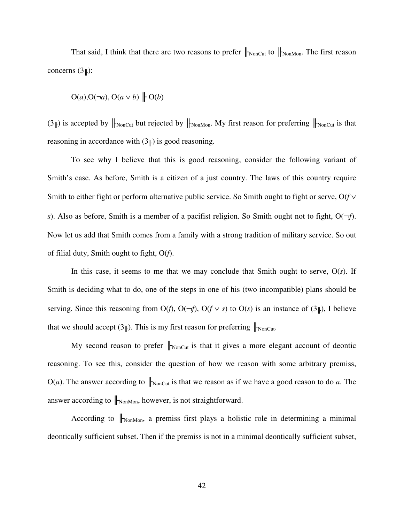That said, I think that there are two reasons to prefer  $\|$ <sub>NonCut</sub> to  $\|$ <sub>NonMon</sub>. The first reason concerns  $(3\vert\vert)$ :

$$
O(a), O(\neg a), O(a \vee b) \upharpoonright O(b)
$$

 $(3\vert\vert)$  is accepted by  $\vert\vert_{\text{NonCut}}$  but rejected by  $\vert\vert_{\text{NonMon}}$ . My first reason for preferring  $\vert\vert_{\text{NonCut}}$  is that reasoning in accordance with  $(3<sub>∥</sub>)$  is good reasoning.

To see why I believe that this is good reasoning, consider the following variant of Smith's case. As before, Smith is a citizen of a just country. The laws of this country require Smith to either fight or perform alternative public service. So Smith ought to fight or serve, O(*f* ∨ *s*). Also as before, Smith is a member of a pacifist religion. So Smith ought not to fight,  $O(\neg f)$ . Now let us add that Smith comes from a family with a strong tradition of military service. So out of filial duty, Smith ought to fight, O(*f*).

In this case, it seems to me that we may conclude that Smith ought to serve,  $O(s)$ . If Smith is deciding what to do, one of the steps in one of his (two incompatible) plans should be serving. Since this reasoning from  $O(f)$ ,  $O(\neg f)$ ,  $O(f \vee s)$  to  $O(s)$  is an instance of (3<sup> $\parallel$ </sup>), I believe that we should accept  $(3\mu)$ . This is my first reason for preferring  $\|_{\text{NonCut}}$ .

My second reason to prefer  $\|_{\text{NonCut}}$  is that it gives a more elegant account of deontic reasoning. To see this, consider the question of how we reason with some arbitrary premiss,  $O(a)$ . The answer according to  $\|_{\text{NonCut}}$  is that we reason as if we have a good reason to do *a*. The answer according to  $\|_{\text{NonMon}}$ , however, is not straightforward.

According to  $\|_{\text{NonMon}}$ , a premiss first plays a holistic role in determining a minimal deontically sufficient subset. Then if the premiss is not in a minimal deontically sufficient subset,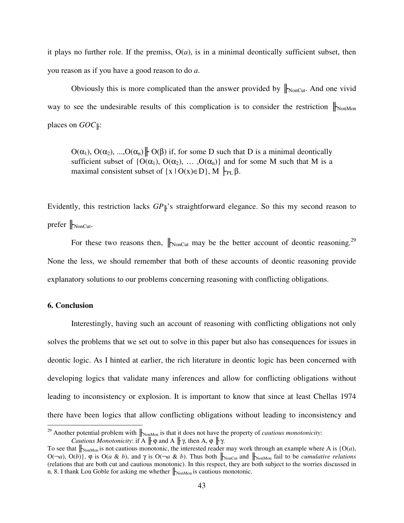it plays no further role. If the premiss,  $O(a)$ , is in a minimal deontically sufficient subset, then you reason as if you have a good reason to do *a*.

Obviously this is more complicated than the answer provided by  $\|$ <sub>NonCut</sub>. And one vivid way to see the undesirable results of this complication is to consider the restriction  $\|_{\text{NonMon}}$ places on *GOC*⊪:

 $O(\alpha_1)$ ,  $O(\alpha_2)$ , ..., $O(\alpha_n)$   $\parallel$   $O(\beta)$  if, for some D such that D is a minimal deontically sufficient subset of  $\{O(\alpha_1), O(\alpha_2), \ldots, O(\alpha_n)\}\$  and for some M such that M is a maximal consistent subset of  $\{x \mid O(x) \in D\}$ ,  $M \models_{PL} \beta$ .

Evidently, this restriction lacks *GP*╟'s straightforward elegance. So this my second reason to prefer  $\|$ <sub>NonCut</sub>.

For these two reasons then,  $\|_{\text{NonCut}}$  may be the better account of deontic reasoning.<sup>29</sup> None the less, we should remember that both of these accounts of deontic reasoning provide explanatory solutions to our problems concerning reasoning with conflicting obligations.

#### **6. Conclusion**

 $\overline{a}$ 

Interestingly, having such an account of reasoning with conflicting obligations not only solves the problems that we set out to solve in this paper but also has consequences for issues in deontic logic. As I hinted at earlier, the rich literature in deontic logic has been concerned with developing logics that validate many inferences and allow for conflicting obligations without leading to inconsistency or explosion. It is important to know that since at least Chellas 1974 there have been logics that allow conflicting obligations without leading to inconsistency and

<sup>&</sup>lt;sup>29</sup> Another potential problem with  $\|_{\text{NonMon}}$  is that it does not have the property of *cautious monotonicity*: *Cautious Monotonicity*: if A  $\| \varphi \rangle$  and A  $\| \gamma$ , then A,  $\varphi \parallel \gamma$ .

To see that  $\|_{\text{NonMon}}$  is not cautious monotonic, the interested reader may work through an example where A is  $\{O(a),\}$ O( $\neg a$ ), O(*b*)}, φ is O(*a* & *b*), and γ is O( $\neg a$  & *b*). Thus both  $\parallel_{\text{NonCut}}$  and  $\parallel_{\text{NonMon}}$  fail to be *cumulative relations* (relations that are both cut and cautious monotonic). In this respect, they are both subject to the worries discussed in n. 8. I thank Lou Goble for asking me whether  $\|_{\text{NonMon}}$  is cautious monotonic.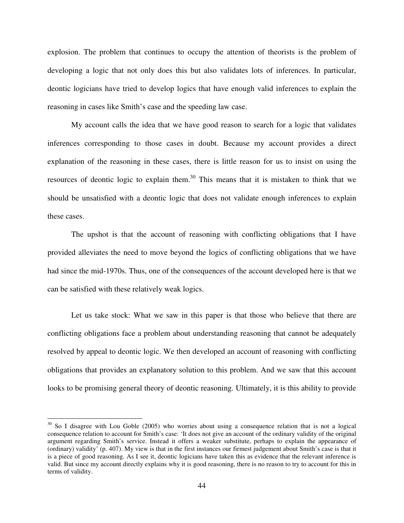explosion. The problem that continues to occupy the attention of theorists is the problem of developing a logic that not only does this but also validates lots of inferences. In particular, deontic logicians have tried to develop logics that have enough valid inferences to explain the reasoning in cases like Smith's case and the speeding law case.

 My account calls the idea that we have good reason to search for a logic that validates inferences corresponding to those cases in doubt. Because my account provides a direct explanation of the reasoning in these cases, there is little reason for us to insist on using the resources of deontic logic to explain them.<sup>30</sup> This means that it is mistaken to think that we should be unsatisfied with a deontic logic that does not validate enough inferences to explain these cases.

The upshot is that the account of reasoning with conflicting obligations that I have provided alleviates the need to move beyond the logics of conflicting obligations that we have had since the mid-1970s. Thus, one of the consequences of the account developed here is that we can be satisfied with these relatively weak logics.

Let us take stock: What we saw in this paper is that those who believe that there are conflicting obligations face a problem about understanding reasoning that cannot be adequately resolved by appeal to deontic logic. We then developed an account of reasoning with conflicting obligations that provides an explanatory solution to this problem. And we saw that this account looks to be promising general theory of deontic reasoning. Ultimately, it is this ability to provide

l

<sup>&</sup>lt;sup>30</sup> So I disagree with Lou Goble (2005) who worries about using a consequence relation that is not a logical consequence relation to account for Smith's case: 'It does not give an account of the ordinary validity of the original argument regarding Smith's service. Instead it offers a weaker substitute, perhaps to explain the appearance of (ordinary) validity' (p. 407). My view is that in the first instances our firmest judgement about Smith's case is that it is a piece of good reasoning. As I see it, deontic logicians have taken this as evidence that the relevant inference is valid. But since my account directly explains why it is good reasoning, there is no reason to try to account for this in terms of validity.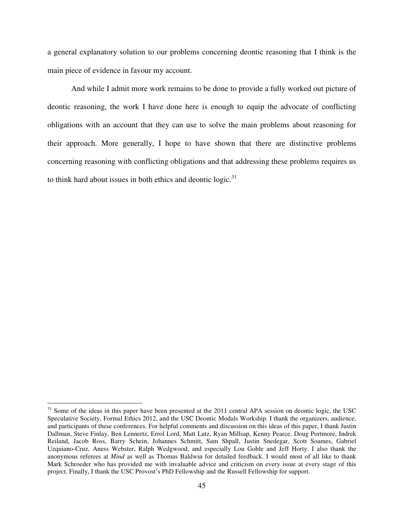a general explanatory solution to our problems concerning deontic reasoning that I think is the main piece of evidence in favour my account.

And while I admit more work remains to be done to provide a fully worked out picture of deontic reasoning, the work I have done here is enough to equip the advocate of conflicting obligations with an account that they can use to solve the main problems about reasoning for their approach. More generally, I hope to have shown that there are distinctive problems concerning reasoning with conflicting obligations and that addressing these problems requires us to think hard about issues in both ethics and deontic logic. $31$ 

 $31$  Some of the ideas in this paper have been presented at the 2011 central APA session on deontic logic, the USC Speculative Society, Formal Ethics 2012, and the USC Deontic Modals Workship. I thank the organizers, audience, and participants of these conferences. For helpful comments and discussion on this ideas of this paper, I thank Justin Dallman, Steve Finlay, Ben Lennertz, Errol Lord, Matt Lutz, Ryan Millsap, Kenny Pearce, Doug Portmore, Indrek Reiland, Jacob Ross, Barry Schein, Johannes Schmitt, Sam Shpall, Justin Snedegar, Scott Soames, Gabriel Uzquiano-Cruz, Aness Webster, Ralph Wedgwood, and especially Lou Goble and Jeff Horty. I also thank the anonymous referees at *Mind* as well as Thomas Baldwin for detailed feedback. I would most of all like to thank Mark Schroeder who has provided me with invaluable advice and criticism on every issue at every stage of this project. Finally, I thank the USC Provost's PhD Fellowship and the Russell Fellowship for support.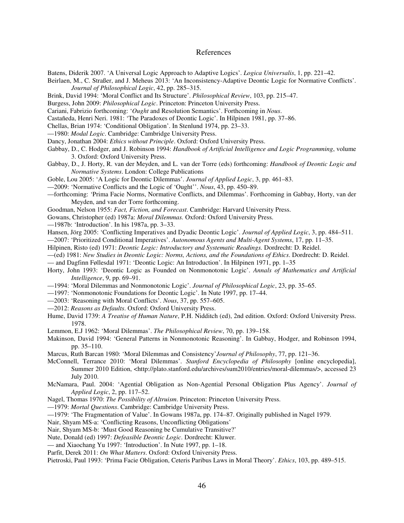#### References

Batens, Diderik 2007. 'A Universal Logic Approach to Adaptive Logics'. *Logica Universalis*, 1, pp. 221–42.

Beirlaen, M., C. Straßer, and J. Meheus 2013: 'An Inconsistency-Adaptive Deontic Logic for Normative Conflicts'. *Journal of Philosophical Logic*, 42, pp. 285–315.

- Brink, David 1994: 'Moral Conflict and Its Structure'. *Philosophical Review*, 103, pp. 215–47.
- Burgess, John 2009: *Philosophical Logic*. Princeton: Princeton University Press.
- Cariani, Fabrizio forthcoming: '*Ought* and Resolution Semantics'. Forthcoming in *Nous*.
- Castañeda, Henri Neri. 1981: 'The Paradoxes of Deontic Logic'. In Hilpinen 1981, pp. 37–86.
- Chellas, Brian 1974: 'Conditional Obligation'. In Stenlund 1974, pp. 23–33.
- —1980: *Modal Logic*. Cambridge: Cambridge University Press.
- Dancy, Jonathan 2004: *Ethics without Principle*. Oxford: Oxford University Press.
- Gabbay, D., C. Hodger, and J. Robinson 1994: *Handbook of Artificial Intelligence and Logic Programming*, volume 3. Oxford: Oxford University Press.
- Gabbay, D., J. Horty, R. van der Meyden, and L. van der Torre (eds) forthcoming: *Handbook of Deontic Logic and Normative Systems*. London: College Publications
- Goble, Lou 2005: 'A Logic for Deontic Dilemmas'. *Journal of Applied Logic*, 3, pp. 461–83.
- —2009: 'Normative Conflicts and the Logic of 'Ought''. *Nous*, 43, pp. 450–89.
- —forthcoming: 'Prima Facie Norms, Normative Conflicts, and Dilemmas'. Forthcoming in Gabbay, Horty, van der Meyden, and van der Torre forthcoming.
- Goodman, Nelson 1955: *Fact, Fiction, and Forecast*. Cambridge: Harvard University Press.
- Gowans, Christopher (ed) 1987a: *Moral Dilemmas.* Oxford: Oxford University Press.
- —1987b: 'Introduction'. In his 1987a, pp. 3–33.
- Hansen, Jörg 2005: 'Conflicting Imperatives and Dyadic Deontic Logic'. *Journal of Applied Logic*, 3, pp. 484–511.
- —2007: 'Prioritized Conditional Imperatives'. *Autonomous Agents and Multi-Agent Systems*, 17, pp. 11–35.
- Hilpinen, Risto (ed) 1971: *Deontic Logic: Introductory and Systematic Readings.* Dordrecht: D. Reidel.
- —(ed) 1981: *New Studies in Deontic Logic: Norms, Actions, and the Foundations of Ethics*. Dordrecht: D. Reidel.
- and Dagfinn Føllesdal 1971: 'Deontic Logic: An Introduction'. In Hilpinen 1971, pp. 1–35
- Horty, John 1993: 'Deontic Logic as Founded on Nonmonotonic Logic'. *Annals of Mathematics and Artificial Intelligence*, 9, pp. 69–91.
- —1994: 'Moral Dilemmas and Nonmonotonic Logic'. *Journal of Philosophical Logic*, 23, pp. 35–65.
- —1997: 'Nonmonotonic Foundations for Deontic Logic'. In Nute 1997, pp. 17–44.
- —2003: 'Reasoning with Moral Conflicts'. *Nous*, 37, pp. 557–605.
- —2012: *Reasons as Defaults*. Oxford: Oxford University Press.
- Hume, David 1739: *A Treatise of Human Nature*, P.H. Nidditch (ed), 2nd edition. Oxford: Oxford University Press. 1978.
- Lemmon, E.J 1962: 'Moral Dilemmas'. *The Philosophical Review*, 70, pp. 139–158.
- Makinson, David 1994: 'General Patterns in Nonmonotonic Reasoning'. In Gabbay, Hodger, and Robinson 1994, pp. 35–110.
- Marcus, Ruth Barcan 1980: 'Moral Dilemmas and Consistency'*Journal of Philosophy*, 77, pp. 121–36.
- McConnell, Terrance 2010: 'Moral Dilemmas'. *Stanford Encyclopedia of Philosophy* [online encyclopedia], Summer 2010 Edition, <http://plato.stanford.edu/archives/sum2010/entries/moral-dilemmas/>, accessed 23 July 2010.
- McNamara, Paul. 2004: 'Agential Obligation as Non-Agential Personal Obligation Plus Agency'. *Journal of Applied Logic*, 2, pp. 117–52.
- Nagel, Thomas 1970: *The Possibility of Altruism*. Princeton: Princeton University Press.
- —1979: *Mortal Questions*. Cambridge: Cambridge University Press.
- —1979: 'The Fragmentation of Value'. In Gowans 1987a, pp. 174–87. Originally published in Nagel 1979.
- Nair, Shyam MS-a: 'Conflicting Reasons, Unconflicting Obligations'
- Nair, Shyam MS-b: 'Must Good Reasoning be Cumulative Transitive?'
- Nute, Donald (ed) 1997: *Defeasible Deontic Logic*. Dordrecht: Kluwer.
- and Xiaochang Yu 1997: 'Introduction'. In Nute 1997, pp. 1–18.
- Parfit, Derek 2011: *On What Matters*. Oxford: Oxford University Press.

Pietroski, Paul 1993: 'Prima Facie Obligation, Ceteris Paribus Laws in Moral Theory'. *Ethics*, 103, pp. 489–515.